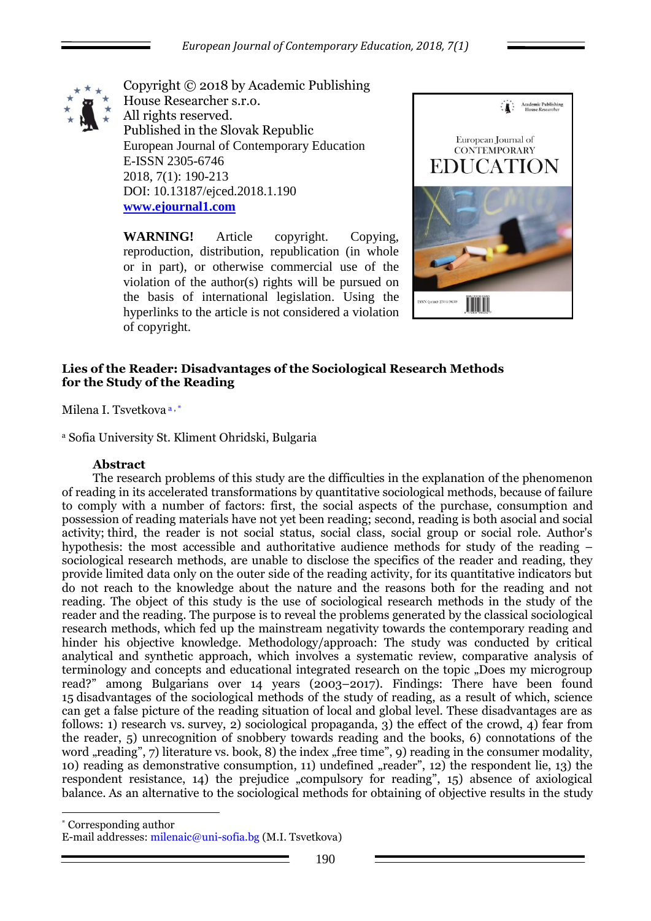

Copyright © 2018 by Academic Publishing House Researcher s.r.o. All rights reserved. Published in the Slovak Republic European Journal of Contemporary Education E-ISSN 2305-6746 2018, 7(1): 190-213 DOI: 10.13187/ejced.2018.1.190 **[www.ejournal1.com](http://www.ejournal1.com/)**

**WARNING!** Article copyright. Copying, reproduction, distribution, republication (in whole or in part), or otherwise commercial use of the violation of the author(s) rights will be pursued on the basis of international legislation. Using the hyperlinks to the article is not considered a violation of copyright.



# **Lies of the Reader: Disadvantages of the Sociological Research Methods for the Study of the Reading**

Milena I. Tsvetkova a , \*

<sup>a</sup> Sofia University St. Kliment Ohridski, Bulgaria

#### **Abstract**

1

The research problems of this study are the difficulties in the explanation of the phenomenon of reading in its accelerated transformations by quantitative sociological methods, because of failure to comply with a number of factors: first, the social aspects of the purchase, consumption and possession of reading materials have not yet been reading; second, reading is both asocial and social activity; third, the reader is not social status, social class, social group or social role. Author's hypothesis: the most accessible and authoritative audience methods for study of the reading – sociological research methods, are unable to disclose the specifics of the reader and reading, they provide limited data only on the outer side of the reading activity, for its quantitative indicators but do not reach to the knowledge about the nature and the reasons both for the reading and not reading. The object of this study is the use of sociological research methods in the study of the reader and the reading. The purpose is to reveal the problems generated by the classical sociological research methods, which fed up the mainstream negativity towards the contemporary reading and hinder his objective knowledge. Methodology/approach: The study was conducted by critical analytical and synthetic approach, which involves a systematic review, comparative analysis of terminology and concepts and educational integrated research on the topic "Does my microgroup read?" among Bulgarians over 14 years (2003–2017). Findings: There have been found 15 disadvantages of the sociological methods of the study of reading, as a result of which, science can get a false picture of the reading situation of local and global level. These disadvantages are as follows: 1) research vs. survey, 2) sociological propaganda, 3) the effect of the crowd, 4) fear from the reader, 5) unrecognition of snobbery towards reading and the books, 6) connotations of the word "reading", 7) literature vs. book, 8) the index "free time", 9) reading in the consumer modality, 10) reading as demonstrative consumption, 11) undefined  $\pi$  reader", 12) the respondent lie, 13) the respondent resistance, 14) the prejudice "compulsory for reading", 15) absence of axiological balance. As an alternative to the sociological methods for obtaining of objective results in the study

\* Corresponding author E-mail addresses: [milenaic@uni-sofia.bg](mailto:milenaic@uni-sofia.bg) (M.I. Tsvetkova)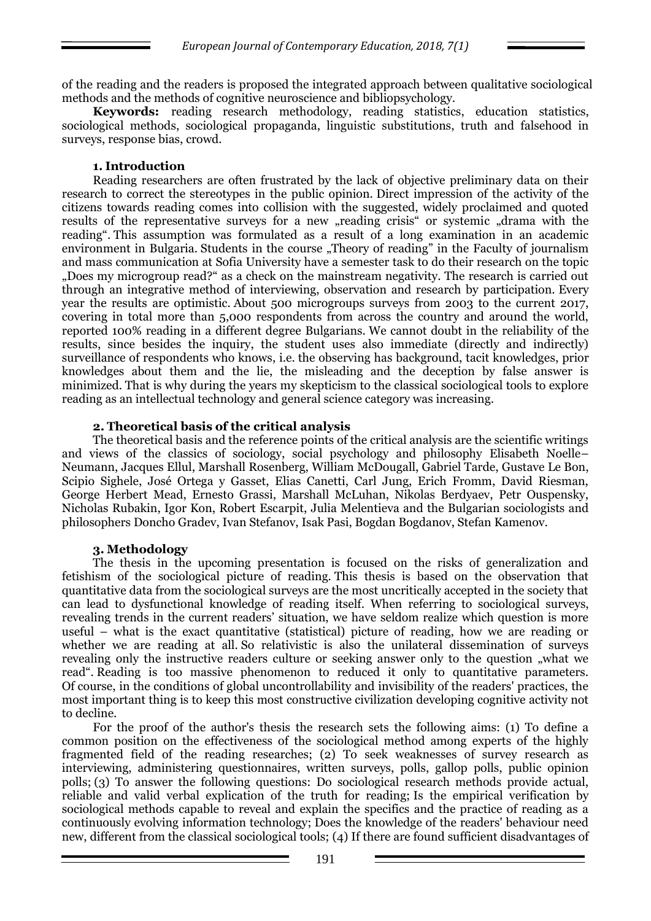of the reading and the readers is proposed the integrated approach between qualitative sociological methods and the methods of cognitive neuroscience and bibliopsychology.

**Keywords:** reading research methodology, reading statistics, education statistics, sociological methods, sociological propaganda, linguistic substitutions, truth and falsehood in surveys, response bias, crowd.

### **1. Introduction**

Reading researchers are often frustrated by the lack of objective preliminary data on their research to correct the stereotypes in the public opinion. Direct impression of the activity of the citizens towards reading comes into collision with the suggested, widely proclaimed and quoted results of the representative surveys for a new "reading crisis" or systemic "drama with the reading". This assumption was formulated as a result of a long examination in an academic environment in Bulgaria. Students in the course "Theory of reading" in the Faculty of journalism and mass communication at Sofia University have a semester task to do their research on the topic "Does my microgroup read?" as a check on the mainstream negativity. The research is carried out through an integrative method of interviewing, observation and research by participation. Every year the results are optimistic. About 500 microgroups surveys from 2003 to the current 2017, covering in total more than 5,000 respondents from across the country and around the world, reported 100% reading in a different degree Bulgarians. We cannot doubt in the reliability of the results, since besides the inquiry, the student uses also immediate (directly and indirectly) surveillance of respondents who knows, i.e. the observing has background, tacit knowledges, prior knowledges about them and the lie, the misleading and the deception by false answer is minimized. That is why during the years my skepticism to the classical sociological tools to explore reading as an intellectual technology and general science category was increasing.

### **2. Theoretical basis of the critical analysis**

The theoretical basis and the reference points of the critical analysis are the scientific writings and views of the classics of sociology, social psychology and philosophy Elisabeth Noelle– Neumann, Jacques Ellul, Marshall Rosenberg, William McDougall, Gabriel Tarde, Gustave Le Bon, Scipio Sighele, José Ortega y Gasset, Elias Canetti, Carl Jung, Erich Fromm, David Riesman, George Herbert Mead, Ernesto Grassi, Marshall McLuhan, Nikolas Berdyaev, Petr Ouspensky, Nicholas Rubakin, Igor Kon, Robert Escarpit, Julia Melentieva and the Bulgarian sociologists and philosophers Doncho Gradev, Ivan Stefanov, Isak Pasi, Bogdan Bogdanov, Stefan Kamenov.

# **3. Methodology**

The thesis in the upcoming presentation is focused on the risks of generalization and fetishism of the sociological picture of reading. This thesis is based on the observation that quantitative data from the sociological surveys are the most uncritically accepted in the society that can lead to dysfunctional knowledge of reading itself. When referring to sociological surveys, revealing trends in the current readers' situation, we have seldom realize which question is more useful – what is the exact quantitative (statistical) picture of reading, how we are reading or whether we are reading at all. So relativistic is also the unilateral dissemination of surveys revealing only the instructive readers culture or seeking answer only to the question "what we read". Reading is too massive phenomenon to reduced it only to quantitative parameters. Of course, in the conditions of global uncontrollability and invisibility of the readers' practices, the most important thing is to keep this most constructive civilization developing cognitive activity not to decline.

For the proof of the author's thesis the research sets the following aims: (1) To define a common position on the effectiveness of the sociological method among experts of the highly fragmented field of the reading researches; (2) To seek weaknesses of survey research as interviewing, administering questionnaires, written surveys, polls, gallop polls, public opinion polls; (3) To answer the following questions: Do sociological research methods provide actual, reliable and valid verbal explication of the truth for reading; Is the empirical verification by sociological methods capable to reveal and explain the specifics and the practice of reading as a continuously evolving information technology; Does the knowledge of the readers' behaviour need new, different from the classical sociological tools; (4) If there are found sufficient disadvantages of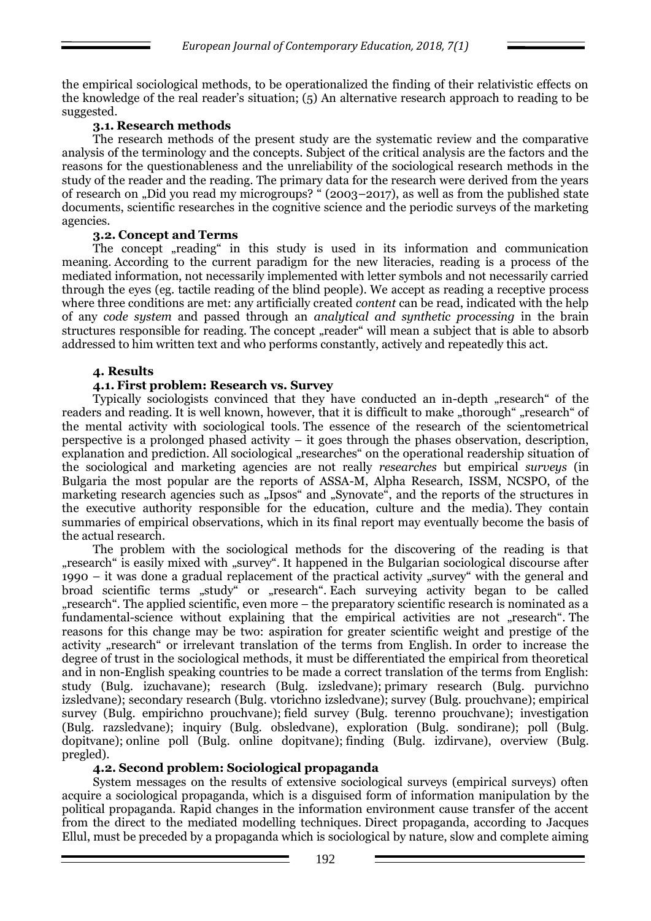the empirical sociological methods, to be operationalized the finding of their relativistic effects on the knowledge of the real reader's situation; (5) An alternative research approach to reading to be suggested.

### **3.1. Research methods**

The research methods of the present study are the systematic review and the comparative analysis of the terminology and the concepts. Subject of the critical analysis are the factors and the reasons for the questionableness and the unreliability of the sociological research methods in the study of the reader and the reading. The primary data for the research were derived from the years of research on "Did you read my microgroups? " (2003–2017), as well as from the published state documents, scientific researches in the cognitive science and the periodic surveys of the marketing agencies.

### **3.2. Concept and Terms**

The concept "reading" in this study is used in its information and communication meaning. According to the current paradigm for the new literacies, reading is a process of the mediated information, not necessarily implemented with letter symbols and not necessarily carried through the eyes (eg. tactile reading of the blind people). We accept as reading a receptive process where three conditions are met: any artificially created *content* can be read, indicated with the help of any *code system* and passed through an *analytical and synthetic processing* in the brain structures responsible for reading. The concept "reader" will mean a subject that is able to absorb addressed to him written text and who performs constantly, actively and repeatedly this act.

### **4. Results**

# **4.1. First problem: Research vs. Survey**

Typically sociologists convinced that they have conducted an in-depth "research" of the readers and reading. It is well known, however, that it is difficult to make "thorough" "research" of the mental activity with sociological tools. The essence of the research of the scientometrical perspective is a prolonged phased activity – it goes through the phases observation, description, explanation and prediction. All sociological "researches" on the operational readership situation of the sociological and marketing agencies are not really *researches* but empirical *surveys* (in Bulgaria the most popular are the reports of ASSA-M, Alpha Research, ISSM, NCSPO, of the marketing research agencies such as "Ipsos" and "Synovate", and the reports of the structures in the executive authority responsible for the education, culture and the media). They contain summaries of empirical observations, which in its final report may eventually become the basis of the actual research.

The problem with the sociological methods for the discovering of the reading is that "research" is easily mixed with "survey". It happened in the Bulgarian sociological discourse after 1990 – it was done a gradual replacement of the practical activity "survey" with the general and broad scientific terms "study" or "research". Each surveying activity began to be called "research". The applied scientific, even more – the preparatory scientific research is nominated as a fundamental-science without explaining that the empirical activities are not "research". The reasons for this change may be two: aspiration for greater scientific weight and prestige of the activity "research" or irrelevant translation of the terms from English. In order to increase the degree of trust in the sociological methods, it must be differentiated the empirical from theoretical and in non-English speaking countries to be made a correct translation of the terms from English: study (Bulg. izuchavane); research (Bulg. izsledvane); primary research (Bulg. purvichno izsledvane); secondary research (Bulg. vtorichno izsledvane); survey (Bulg. prouchvane); empirical survey (Bulg. empirichno prouchvane); field survey (Bulg. terenno prouchvane); investigation (Bulg. razsledvane); inquiry (Bulg. obsledvane), exploration (Bulg. sondirane); poll (Bulg. dopitvane); online poll (Bulg. online dopitvane); finding (Bulg. izdirvane), overview (Bulg. pregled).

# **4.2. Second problem: Sociological propaganda**

System messages on the results of extensive sociological surveys (empirical surveys) often acquire a sociological propaganda, which is a disguised form of information manipulation by the political propaganda. Rapid changes in the information environment cause transfer of the accent from the direct to the mediated modelling techniques. Direct propaganda, according to Jacques Ellul, must be preceded by a propaganda which is sociological by nature, slow and complete aiming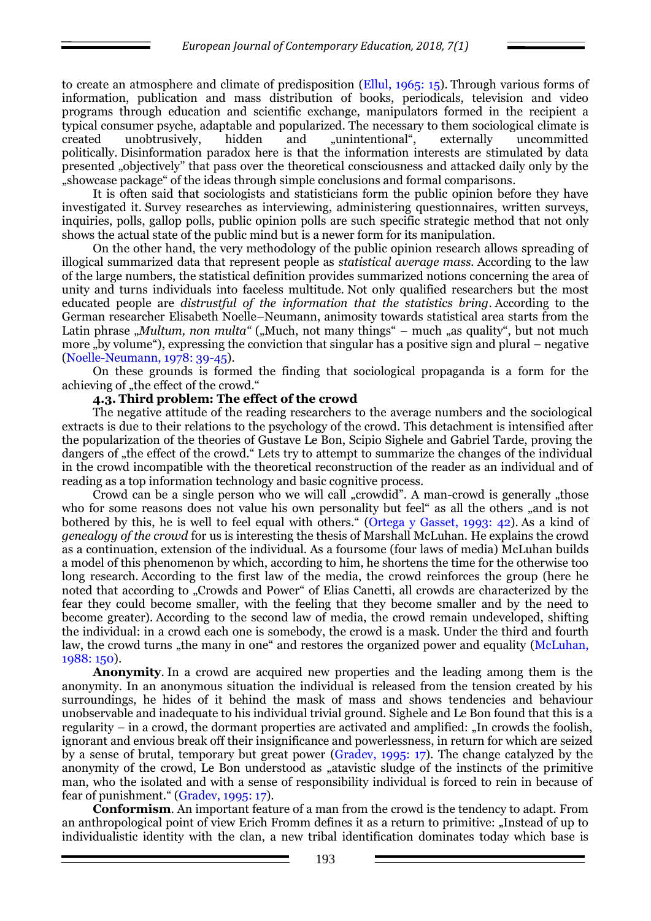to create an atmosphere and climate of predisposition (Ellul, 1965: 15). Through various forms of information, publication and mass distribution of books, periodicals, television and video programs through education and scientific exchange, manipulators formed in the recipient a typical consumer psyche, adaptable and popularized. The necessary to them sociological climate is created unobtrusively, hidden and "unintentional", externally uncommitted politically. Disinformation paradox here is that the information interests are stimulated by data presented "objectively" that pass over the theoretical consciousness and attacked daily only by the "showcase package" of the ideas through simple conclusions and formal comparisons.

It is often said that sociologists and statisticians form the public opinion before they have investigated it. Survey researches as interviewing, administering questionnaires, written surveys, inquiries, polls, gallop polls, public opinion polls are such specific strategic method that not only shows the actual state of the public mind but is a newer form for its manipulation.

On the other hand, the very methodology of the public opinion research allows spreading of illogical summarized data that represent people as *statistical average mass.* According to the law of the large numbers, the statistical definition provides summarized notions concerning the area of unity and turns individuals into faceless multitude. Not only qualified researchers but the most educated people are *distrustful of the information that the statistics bring*. According to the German researcher Elisabeth Noelle–Neumann, animosity towards statistical area starts from the Latin phrase *"Multum, non multa"* ("Much, not many things" – much "as quality", but not much more "by volume"), expressing the conviction that singular has a positive sign and plural – negative (Noelle-Neumann, 1978: 39-45).

On these grounds is formed the finding that sociological propaganda is a form for the achieving of "the effect of the crowd."

#### **4.3. Third problem: The effect of the crowd**

The negative attitude of the reading researchers to the average numbers and the sociological extracts is due to their relations to the psychology of the crowd. This detachment is intensified after the popularization of the theories of Gustave Le Bon, Scipio Sighele and Gabriel Tarde, proving the dangers of "the effect of the crowd." Lets try to attempt to summarize the changes of the individual in the crowd incompatible with the theoretical reconstruction of the reader as an individual and of reading as a top information technology and basic cognitive process.

Crowd can be a single person who we will call "crowdid". A man-crowd is generally "those who for some reasons does not value his own personality but feel" as all the others "and is not bothered by this, he is well to feel equal with others." (Ortega y Gasset, 1993: 42). As a kind of *genealogy of the crowd* for us is interesting the thesis of Marshall McLuhan. He explains the crowd as a continuation, extension of the individual. As a foursome (four laws of media) McLuhan builds a model of this phenomenon by which, according to him, he shortens the time for the otherwise too long research. According to the first law of the media, the crowd reinforces the group (here he noted that according to "Crowds and Power" of Elias Canetti, all crowds are characterized by the fear they could become smaller, with the feeling that they become smaller and by the need to become greater). According to the second law of media, the crowd remain undeveloped, shifting the individual: in a crowd each one is somebody, the crowd is a mask. Under the third and fourth law, the crowd turns "the many in one" and restores the organized power and equality (McLuhan, 1988: 150).

**Anonymity**. In a crowd are acquired new properties and the leading among them is the anonymity. In an anonymous situation the individual is released from the tension created by his surroundings, he hides of it behind the mask of mass and shows tendencies and behaviour unobservable and inadequate to his individual trivial ground. Sighele and Le Bon found that this is a regularity – in a crowd, the dormant properties are activated and amplified: "In crowds the foolish, ignorant and envious break off their insignificance and powerlessness, in return for which are seized by a sense of brutal, temporary but great power (Gradev, 1995: 17). The change catalyzed by the anonymity of the crowd, Le Bon understood as "atavistic sludge of the instincts of the primitive man, who the isolated and with a sense of responsibility individual is forced to rein in because of fear of punishment." (Gradev, 1995: 17).

**Conformism**. An important feature of a man from the crowd is the tendency to adapt. From an anthropological point of view Erich Fromm defines it as a return to primitive: "Instead of up to individualistic identity with the clan, a new tribal identification dominates today which base is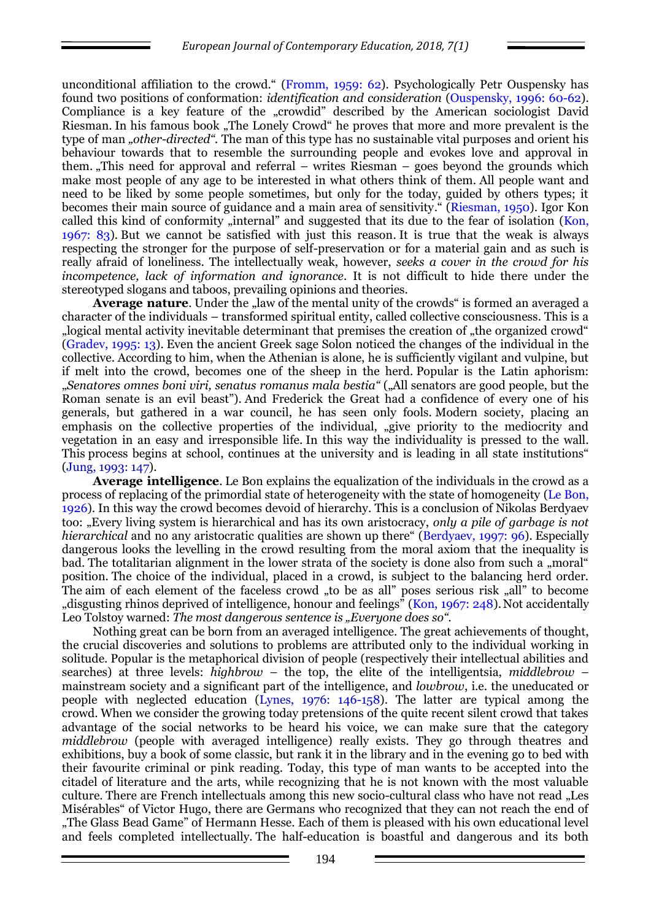unconditional affiliation to the crowd." (Fromm, 1959: 62). Psychologically Petr Ouspensky has found two positions of conformation: *identification and consideration* (Ouspensky, 1996: 60-62). Compliance is a key feature of the "crowdid" described by the American sociologist David Riesman. In his famous book "The Lonely Crowd" he proves that more and more prevalent is the type of man *"other-directed*". The man of this type has no sustainable vital purposes and orient his behaviour towards that to resemble the surrounding people and evokes love and approval in them. "This need for approval and referral – writes Riesman – goes beyond the grounds which make most people of any age to be interested in what others think of them. All people want and need to be liked by some people sometimes, but only for the today, guided by others types; it becomes their main source of guidance and a main area of sensitivity." (Riesman, 1950). Igor Kon called this kind of conformity "internal" and suggested that its due to the fear of isolation (Kon, 1967: 83). But we cannot be satisfied with just this reason. It is true that the weak is always respecting the stronger for the purpose of self-preservation or for a material gain and as such is really afraid of loneliness. The intellectually weak, however, *seeks a cover in the crowd for his incompetence, lack of information and ignorance*. It is not difficult to hide there under the stereotyped slogans and taboos, prevailing opinions and theories.

**Average nature**. Under the "law of the mental unity of the crowds" is formed an averaged a character of the individuals – transformed spiritual entity, called collective consciousness. This is a "logical mental activity inevitable determinant that premises the creation of "the organized crowd" (Gradev, 1995: 13). Even the ancient Greek sage Solon noticed the changes of the individual in the collective. According to him, when the Athenian is alone, he is sufficiently vigilant and vulpine, but if melt into the crowd, becomes one of the sheep in the herd. Popular is the Latin aphorism: "*Senatores omnes boni viri, senatus romanus mala bestia"* ("All senators are good people, but the Roman senate is an evil beast"). And Frederick the Great had a confidence of every one of his generals, but gathered in a war council, he has seen only fools. Modern society, placing an emphasis on the collective properties of the individual, "give priority to the mediocrity and vegetation in an easy and irresponsible life. In this way the individuality is pressed to the wall. This process begins at school, continues at the university and is leading in all state institutions" (Jung, 1993: 147).

**Average intelligence**. Le Bon explains the equalization of the individuals in the crowd as a process of replacing of the primordial state of heterogeneity with the state of homogeneity (Le Bon, 1926). In this way the crowd becomes devoid of hierarchy. This is a conclusion of Nikolas Berdyaev too: "Every living system is hierarchical and has its own aristocracy, *only a pile of garbage is not hierarchical* and no any aristocratic qualities are shown up there" (Berdyaev, 1997: 96). Especially dangerous looks the levelling in the crowd resulting from the moral axiom that the inequality is bad. The totalitarian alignment in the lower strata of the society is done also from such a "moral" position. The choice of the individual, placed in a crowd, is subject to the balancing herd order. The aim of each element of the faceless crowd "to be as all" poses serious risk "all" to become "disgusting rhinos deprived of intelligence, honour and feelings" (Kon,  $1967: 248$ ). Not accidentally Leo Tolstoy warned: *The most dangerous sentence is "Everyone does so*".

Nothing great can be born from an averaged intelligence. The great achievements of thought, the crucial discoveries and solutions to problems are attributed only to the individual working in solitude. Popular is the metaphorical division of people (respectively their intellectual abilities and searches) at three levels: *highbrow* – the top, the elite of the intelligentsia, *middlebrow* – mainstream society and a significant part of the intelligence, and *lowbrow*, i.e. the uneducated or people with neglected education (Lynes, 1976: 146-158). The latter are typical among the crowd. When we consider the growing today pretensions of the quite recent silent crowd that takes advantage of the social networks to be heard his voice, we can make sure that the category *middlebrow* (people with averaged intelligence) really exists. They go through theatres and exhibitions, buy a book of some classic, but rank it in the library and in the evening go to bed with their favourite criminal or pink reading. Today, this type of man wants to be accepted into the citadel of literature and the arts, while recognizing that he is not known with the most valuable culture. There are French intellectuals among this new socio-cultural class who have not read "Les Misérables" of Victor Hugo, there are Germans who recognized that they can not reach the end of "The Glass Bead Game" of Hermann Hesse. Each of them is pleased with his own educational level and feels completed intellectually. The half-education is boastful and dangerous and its both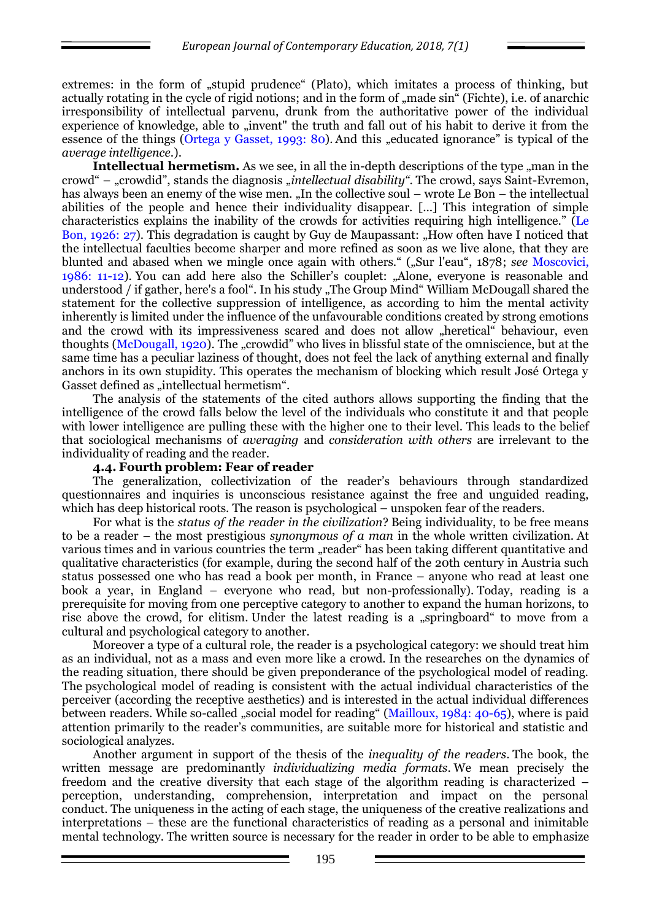extremes: in the form of "stupid prudence" (Plato), which imitates a process of thinking, but actually rotating in the cycle of rigid notions; and in the form of "made sin" (Fichte), i.e. of anarchic irresponsibility of intellectual parvenu, drunk from the authoritative power of the individual experience of knowledge, able to "invent" the truth and fall out of his habit to derive it from the essence of the things (Ortega y Gasset, 1993: 80). And this "educated ignorance" is typical of the *average intelligence*.).

**Intellectual hermetism.** As we see, in all the in-depth descriptions of the type "man in the crowd" – "crowdid", stands the diagnosis "*intellectual disability"*. The crowd, says Saint-Evremon, has always been an enemy of the wise men. "In the collective soul – wrote Le Bon – the intellectual abilities of the people and hence their individuality disappear. [...] This integration of simple characteristics explains the inability of the crowds for activities requiring high intelligence." (Le Bon, 1926: 27). This degradation is caught by Guy de Maupassant: "How often have I noticed that the intellectual faculties become sharper and more refined as soon as we live alone, that they are blunted and abased when we mingle once again with others." ("Sur l'eau", 1878; *see* Moscovici, 1986: 11-12). You can add here also the Schiller's couplet: "Alone, everyone is reasonable and understood / if gather, here's a fool". In his study "The Group Mind" William McDougall shared the statement for the collective suppression of intelligence, as according to him the mental activity inherently is limited under the influence of the unfavourable conditions created by strong emotions and the crowd with its impressiveness scared and does not allow "heretical" behaviour, even thoughts (McDougall, 1920). The "crowdid" who lives in blissful state of the omniscience, but at the same time has a peculiar laziness of thought, does not feel the lack of anything external and finally anchors in its own stupidity. This operates the mechanism of blocking which result José Ortega y Gasset defined as "intellectual hermetism".

The analysis of the statements of the cited authors allows supporting the finding that the intelligence of the crowd falls below the level of the individuals who constitute it and that people with lower intelligence are pulling these with the higher one to their level. This leads to the belief that sociological mechanisms of *averaging* and *consideration with others* are irrelevant to the individuality of reading and the reader.

#### **4.4. Fourth problem: Fear of reader**

The generalization, collectivization of the reader's behaviours through standardized questionnaires and inquiries is unconscious resistance against the free and unguided reading, which has deep historical roots. The reason is psychological – unspoken fear of the readers.

For what is the *status of the reader in the civilization*? Being individuality, to be free means to be a reader – the most prestigious *synonymous of a man* in the whole written civilization. At various times and in various countries the term "reader" has been taking different quantitative and qualitative characteristics (for example, during the second half of the 20th century in Austria such status possessed one who has read a book per month, in France – anyone who read at least one book a year, in England – everyone who read, but non-professionally). Today, reading is a prerequisite for moving from one perceptive category to another to expand the human horizons, to rise above the crowd, for elitism. Under the latest reading is a "springboard" to move from a cultural and psychological category to another.

Moreover a type of a cultural role, the reader is a psychological category: we should treat him as an individual, not as a mass and even more like a crowd. In the researches on the dynamics of the reading situation, there should be given preponderance of the psychological model of reading. The psychological model of reading is consistent with the actual individual characteristics of the perceiver (according the receptive aesthetics) and is interested in the actual individual differences between readers. While so-called "social model for reading" (Mailloux, 1984: 40-65), where is paid attention primarily to the reader's communities, are suitable more for historical and statistic and sociological analyzes.

Another argument in support of the thesis of the *inequality of the readers*. The book, the written message are predominantly *individualizing media formats*. We mean precisely the freedom and the creative diversity that each stage of the algorithm reading is characterized – perception, understanding, comprehension, interpretation and impact on the personal conduct. The uniqueness in the acting of each stage, the uniqueness of the creative realizations and interpretations – these are the functional characteristics of reading as a personal and inimitable mental technology. The written source is necessary for the reader in order to be able to emphasize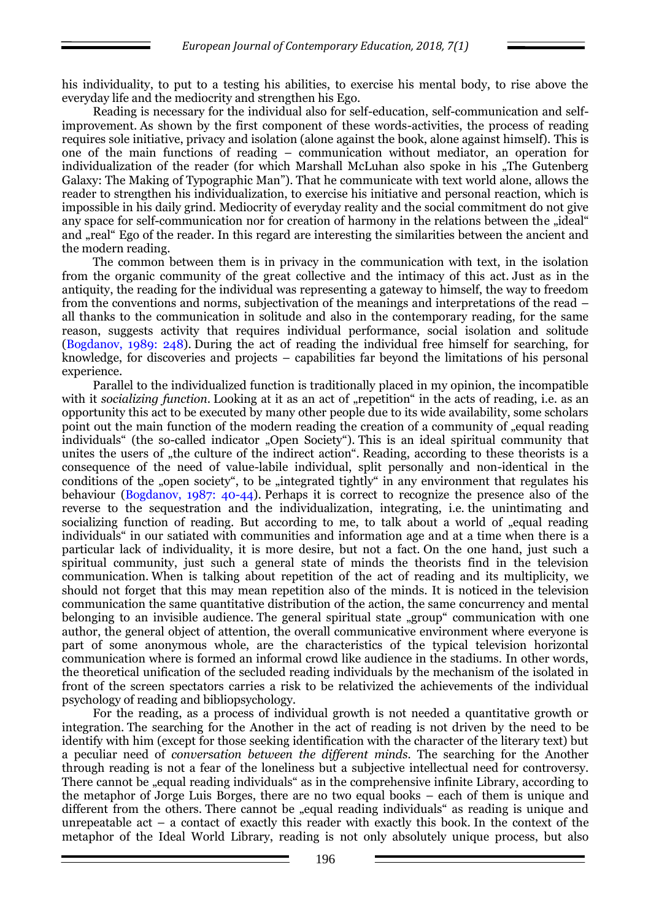his individuality, to put to a testing his abilities, to exercise his mental body, to rise above the everyday life and the mediocrity and strengthen his Ego.

Reading is necessary for the individual also for self-education, self-communication and selfimprovement. As shown by the first component of these words-activities, the process of reading requires sole initiative, privacy and isolation (alone against the book, alone against himself). This is one of the main functions of reading – communication without mediator, an operation for individualization of the reader (for which Marshall McLuhan also spoke in his "The Gutenberg") Galaxy: The Making of Typographic Man"). That he communicate with text world alone, allows the reader to strengthen his individualization, to exercise his initiative and personal reaction, which is impossible in his daily grind. Mediocrity of everyday reality and the social commitment do not give any space for self-communication nor for creation of harmony in the relations between the "ideal" and "real" Ego of the reader. In this regard are interesting the similarities between the ancient and the modern reading.

The common between them is in privacy in the communication with text, in the isolation from the organic community of the great collective and the intimacy of this act. Just as in the antiquity, the reading for the individual was representing a gateway to himself, the way to freedom from the conventions and norms, subjectivation of the meanings and interpretations of the read – all thanks to the communication in solitude and also in the contemporary reading, for the same reason, suggests activity that requires individual performance, social isolation and solitude (Bogdanov, 1989: 248). During the act of reading the individual free himself for searching, for knowledge, for discoveries and projects – capabilities far beyond the limitations of his personal experience.

Parallel to the individualized function is traditionally placed in my opinion, the incompatible with it *socializing function*. Looking at it as an act of "repetition" in the acts of reading, i.e. as an opportunity this act to be executed by many other people due to its wide availability, some scholars point out the main function of the modern reading the creation of a community of equal reading individuals" (the so-called indicator "Open Society"). This is an ideal spiritual community that unites the users of "the culture of the indirect action". Reading, according to these theorists is a consequence of the need of value-labile individual, split personally and non-identical in the conditions of the "open society", to be "integrated tightly" in any environment that regulates his behaviour (Bogdanov, 1987: 40-44). Perhaps it is correct to recognize the presence also of the reverse to the sequestration and the individualization, integrating, i.e. the unintimating and socializing function of reading. But according to me, to talk about a world of "equal reading individuals" in our satiated with communities and information age and at a time when there is a particular lack of individuality, it is more desire, but not a fact. On the one hand, just such a spiritual community, just such a general state of minds the theorists find in the television communication. When is talking about repetition of the act of reading and its multiplicity, we should not forget that this may mean repetition also of the minds. It is noticed in the television communication the same quantitative distribution of the action, the same concurrency and mental belonging to an invisible audience. The general spiritual state "group" communication with one author, the general object of attention, the overall communicative environment where everyone is part of some anonymous whole, are the characteristics of the typical television horizontal communication where is formed an informal crowd like audience in the stadiums. In other words, the theoretical unification of the secluded reading individuals by the mechanism of the isolated in front of the screen spectators carries a risk to be relativized the achievements of the individual psychology of reading and bibliopsychology.

For the reading, as a process of individual growth is not needed a quantitative growth or integration. The searching for the Another in the act of reading is not driven by the need to be identify with him (except for those seeking identification with the character of the literary text) but a peculiar need of *conversation between the different minds.* The searching for the Another through reading is not a fear of the loneliness but a subjective intellectual need for controversy. There cannot be "equal reading individuals" as in the comprehensive infinite Library, according to the metaphor of Jorge Luis Borges, there are no two equal books – each of them is unique and different from the others. There cannot be "equal reading individuals" as reading is unique and unrepeatable act – a contact of exactly this reader with exactly this book. In the context of the metaphor of the Ideal World Library, reading is not only absolutely unique process, but also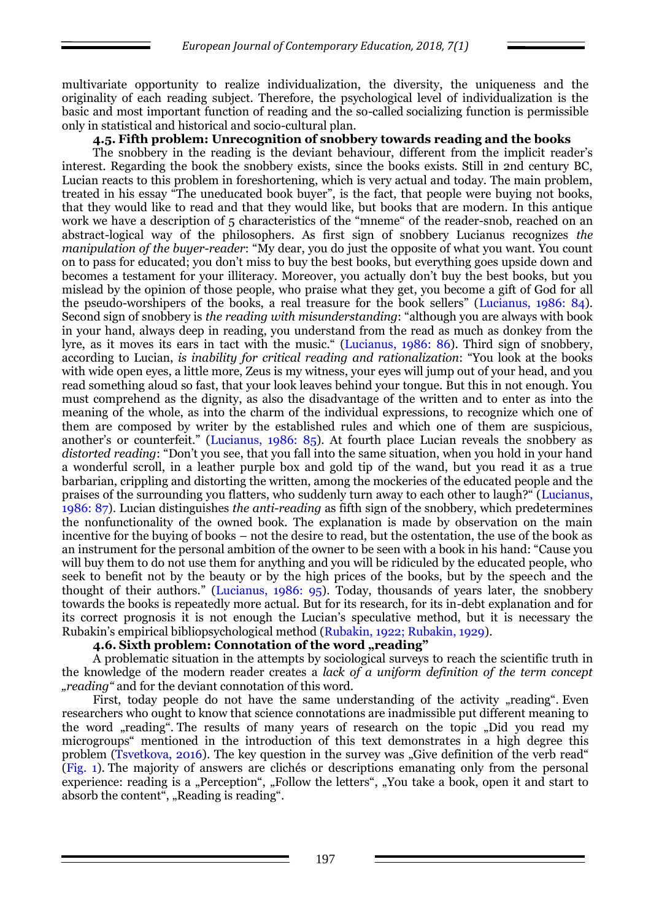multivariate opportunity to realize individualization, the diversity, the uniqueness and the originality of each reading subject. Therefore, the psychological level of individualization is the basic and most important function of reading and the so-called socializing function is permissible only in statistical and historical and socio-cultural plan.

### **4.5. Fifth problem: Unrecognition of snobbery towards reading and the books**

The snobbery in the reading is the deviant behaviour, different from the implicit reader's interest. Regarding the book the snobbery exists, since the books exists. Still in 2nd century BC, Lucian reacts to this problem in foreshortening, which is very actual and today. The main problem, treated in his essay "The uneducated book buyer", is the fact, that people were buying not books, that they would like to read and that they would like, but books that are modern. In this antique work we have a description of 5 characteristics of the "mneme" of the reader-snob, reached on an abstract-logical way of the philosophers. As first sign of snobbery Lucianus recognizes *the manipulation of the buyer-reader*: "My dear, you do just the opposite of what you want. You count on to pass for educated; you don't miss to buy the best books, but everything goes upside down and becomes a testament for your illiteracy. Moreover, you actually don't buy the best books, but you mislead by the opinion of those people, who praise what they get, you become a gift of God for all the pseudo-worshipers of the books, a real treasure for the book sellers" (Lucianus, 1986: 84). Second sign of snobbery is *the reading with misunderstanding*: "although you are always with book in your hand, always deep in reading, you understand from the read as much as donkey from the lyre, as it moves its ears in tact with the music." (Lucianus, 1986: 86). Third sign of snobbery, according to Lucian, *is inability for critical reading and rationalization*: "You look at the books with wide open eyes, a little more, Zeus is my witness, your eyes will jump out of your head, and you read something aloud so fast, that your look leaves behind your tongue. But this in not enough. You must comprehend as the dignity, as also the disadvantage of the written and to enter as into the meaning of the whole, as into the charm of the individual expressions, to recognize which one of them are composed by writer by the established rules and which one of them are suspicious, another's or counterfeit." (Lucianus, 1986: 85). At fourth place Lucian reveals the snobbery as *distorted reading*: "Don't you see, that you fall into the same situation, when you hold in your hand a wonderful scroll, in a leather purple box and gold tip of the wand, but you read it as a true barbarian, crippling and distorting the written, among the mockeries of the educated people and the praises of the surrounding you flatters, who suddenly turn away to each other to laugh?" (Lucianus, 1986: 87). Lucian distinguishes *the anti-reading* as fifth sign of the snobbery, which predetermines the nonfunctionality of the owned book. The explanation is made by observation on the main incentive for the buying of books – not the desire to read, but the ostentation, the use of the book as an instrument for the personal ambition of the owner to be seen with a book in his hand: "Cause you will buy them to do not use them for anything and you will be ridiculed by the educated people, who seek to benefit not by the beauty or by the high prices of the books, but by the speech and the thought of their authors." (Lucianus, 1986: 95). Today, thousands of years later, the snobbery towards the books is repeatedly more actual. But for its research, for its in-debt explanation and for its correct prognosis it is not enough the Lucian's speculative method, but it is necessary the Rubakin's empirical bibliopsychological method (Rubakin, 1922; Rubakin, 1929).

# **4.6.** Sixth problem: Connotation of the word "reading"

A problematic situation in the attempts by sociological surveys to reach the scientific truth in the knowledge of the modern reader creates a *lack of a uniform definition of the term concept "reading"* and for the deviant connotation of this word.

First, today people do not have the same understanding of the activity "reading". Even researchers who ought to know that science connotations are inadmissible put different meaning to the word "reading". The results of many years of research on the topic "Did you read my" microgroups" mentioned in the introduction of this text demonstrates in a high degree this problem (Tsvetkova, 2016). The key question in the survey was "Give definition of the verb read" (Fig. 1). The majority of answers are clichés or descriptions emanating only from the personal experience: reading is a "Perception", "Follow the letters", "You take a book, open it and start to absorb the content", "Reading is reading".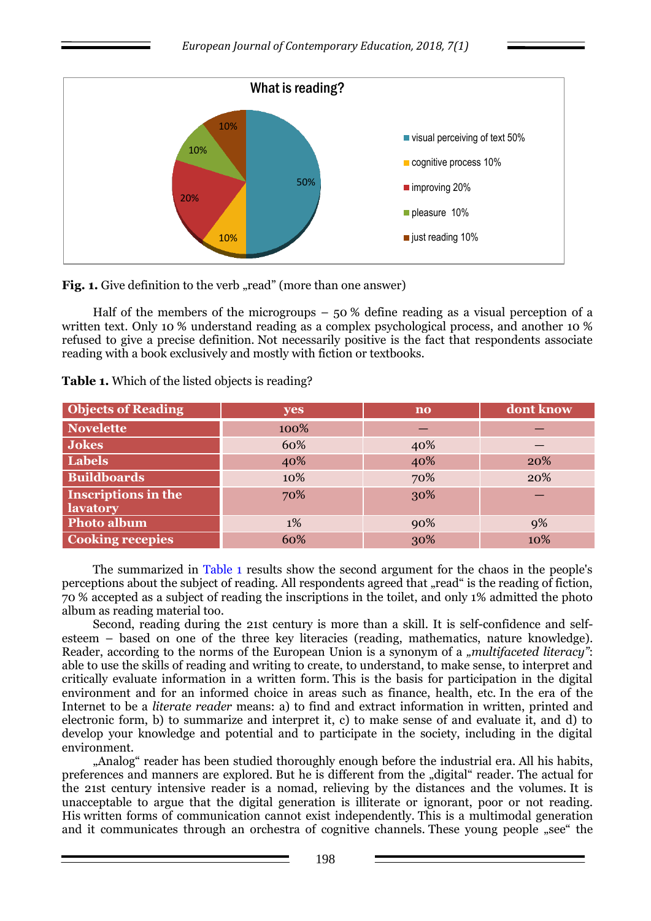

**Fig. 1.** Give definition to the verb "read" (more than one answer)

Half of the members of the microgroups  $-50\%$  define reading as a visual perception of a written text. Only 10 % understand reading as a complex psychological process, and another 10 % refused to give a precise definition. Not necessarily positive is the fact that respondents associate reading with a book exclusively and mostly with fiction or textbooks.

**Table 1.** Which of the listed objects is reading?

| <b>Objects of Reading</b>                     | yes  | $\mathbf{n}\mathbf{o}$ | dont know |
|-----------------------------------------------|------|------------------------|-----------|
| <b>Novelette</b>                              | 100% |                        |           |
| <b>Jokes</b>                                  | 60%  | 40%                    |           |
| <b>Labels</b>                                 | 40%  | 40%                    | 20%       |
| <b>Buildboards</b>                            | 10%  | 70%                    | 20%       |
| <b>Inscriptions in the</b><br><b>lavatory</b> | 70%  | 30%                    |           |
| <b>Photo album</b>                            | 1%   | 90%                    | 9%        |
| <b>Cooking recepies</b>                       | 60%  | 30%                    | 10%       |

The summarized in Table 1 results show the second argument for the chaos in the people's perceptions about the subject of reading. All respondents agreed that "read" is the reading of fiction, 70 % accepted as a subject of reading the inscriptions in the toilet, and only 1% admitted the photo album as reading material too.

Second, reading during the 21st century is more than a skill. It is self-confidence and selfesteem – based on one of the three key literacies (reading, mathematics, nature knowledge). Reader, according to the norms of the European Union is a synonym of a "*multifaceted literacy*": able to use the skills of reading and writing to create, to understand, to make sense, to interpret and critically evaluate information in a written form. This is the basis for participation in the digital environment and for an informed choice in areas such as finance, health, etc. In the era of the Internet to be a *literate reader* means: a) to find and extract information in written, printed and electronic form, b) to summarize and interpret it, c) to make sense of and evaluate it, and d) to develop your knowledge and potential and to participate in the society, including in the digital environment.

"Analog" reader has been studied thoroughly enough before the industrial era. All his habits, preferences and manners are explored. But he is different from the "digital" reader. The actual for the 21st century intensive reader is a nomad, relieving by the distances and the volumes. It is unacceptable to argue that the digital generation is illiterate or ignorant, poor or not reading. His written forms of communication cannot exist independently. This is a multimodal generation and it communicates through an orchestra of cognitive channels. These young people "see" the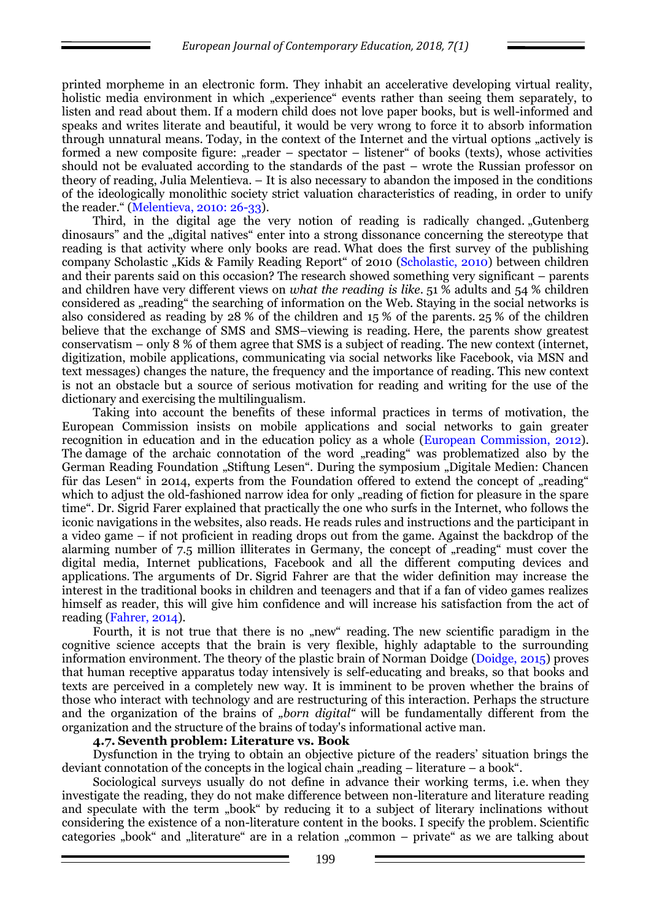printed morpheme in an electronic form. They inhabit an accelerative developing virtual reality, holistic media environment in which "experience" events rather than seeing them separately, to listen and read about them. If a modern child does not love paper books, but is well-informed and speaks and writes literate and beautiful, it would be very wrong to force it to absorb information through unnatural means. Today, in the context of the Internet and the virtual options "actively is formed a new composite figure: "reader – spectator – listener" of books (texts), whose activities should not be evaluated according to the standards of the past – wrote the Russian professor on theory of reading, Julia Melentieva. – It is also necessary to abandon the imposed in the conditions of the ideologically monolithic society strict valuation characteristics of reading, in order to unify the reader." (Melentieva, 2010: 26-33).

Third, in the digital age the very notion of reading is radically changed. "Gutenberg dinosaurs" and the "digital natives" enter into a strong dissonance concerning the stereotype that reading is that activity where only books are read. What does the first survey of the publishing company Scholastic "Kids & Family Reading Report" of 2010 (Scholastic, 2010) between children and their parents said on this occasion? The research showed something very significant – parents and children have very different views on *what the reading is like*. 51 % adults and 54 % children considered as "reading" the searching of information on the Web. Staying in the social networks is also considered as reading by 28 % of the children and 15 % of the parents. 25 % of the children believe that the exchange of SMS and SMS–viewing is reading. Here, the parents show greatest conservatism – only 8 % of them agree that SMS is a subject of reading. The new context (internet, digitization, mobile applications, communicating via social networks like Facebook, via MSN and text messages) changes the nature, the frequency and the importance of reading. This new context is not an obstacle but a source of serious motivation for reading and writing for the use of the dictionary and exercising the multilingualism.

Taking into account the benefits of these informal practices in terms of motivation, the European Commission insists on mobile applications and social networks to gain greater recognition in education and in the education policy as a whole (European Commission, 2012). The damage of the archaic connotation of the word "reading" was problematized also by the German Reading Foundation "Stiftung Lesen". During the symposium "Digitale Medien: Chancen für das Lesen" in 2014, experts from the Foundation offered to extend the concept of "reading" which to adjust the old-fashioned narrow idea for only "reading of fiction for pleasure in the spare time". Dr. Sigrid Farer explained that practically the one who surfs in the Internet, who follows the iconic navigations in the websites, also reads. He reads rules and instructions and the participant in a video game – if not proficient in reading drops out from the game. Against the backdrop of the alarming number of 7.5 million illiterates in Germany, the concept of "reading" must cover the digital media, Internet publications, Facebook and all the different computing devices and applications. The arguments of Dr. Sigrid Fahrer are that the wider definition may increase the interest in the traditional books in children and teenagers and that if a fan of video games realizes himself as reader, this will give him confidence and will increase his satisfaction from the act of reading (Fahrer, 2014).

Fourth, it is not true that there is no "new" reading. The new scientific paradigm in the cognitive science accepts that the brain is very flexible, highly adaptable to the surrounding information environment. The theory of the plastic brain of Norman Doidge (Doidge, 2015) proves that human receptive apparatus today intensively is self-educating and breaks, so that books and texts are perceived in a completely new way. It is imminent to be proven whether the brains of those who interact with technology and are restructuring of this interaction. Perhaps the structure and the organization of the brains of "born digital" will be fundamentally different from the organization and the structure of the brains of today's informational active man.

#### **4.7. Seventh problem: Literature vs. Book**

Dysfunction in the trying to obtain an objective picture of the readers' situation brings the deviant connotation of the concepts in the logical chain  $\pi$ -reading – literature – a book".

Sociological surveys usually do not define in advance their working terms, i.e. when they investigate the reading, they do not make difference between non-literature and literature reading and speculate with the term "book" by reducing it to a subject of literary inclinations without considering the existence of a non-literature content in the books. I specify the problem. Scientific categories "book" and "literature" are in a relation "common – private" as we are talking about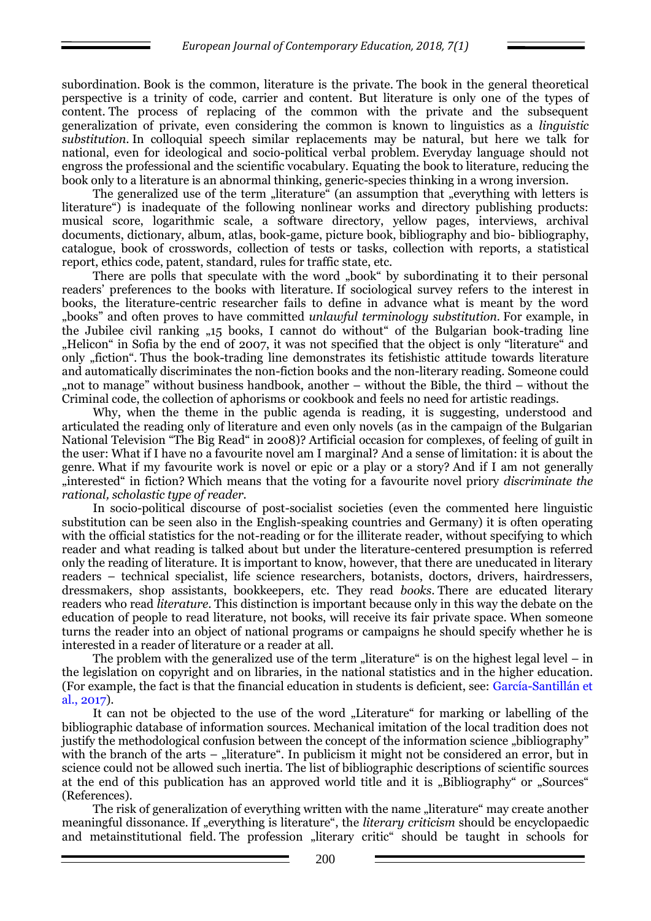subordination. Book is the common, literature is the private. The book in the general theoretical perspective is a trinity of code, carrier and content. But literature is only one of the types of content. The process of replacing of the common with the private and the subsequent generalization of private, even considering the common is known to linguistics as a *linguistic substitution*. In colloquial speech similar replacements may be natural, but here we talk for national, even for ideological and socio-political verbal problem. Everyday language should not engross the professional and the scientific vocabulary. Equating the book to literature, reducing the book only to a literature is an abnormal thinking, generic-species thinking in a wrong inversion.

The generalized use of the term "literature" (an assumption that "everything with letters is literature") is inadequate of the following nonlinear works and directory publishing products: musical score, logarithmic scale, a software directory, yellow pages, interviews, archival documents, dictionary, album, atlas, book-game, picture book, bibliography and bio- bibliography, catalogue, book of crosswords, collection of tests or tasks, collection with reports, a statistical report, ethics code, patent, standard, rules for traffic state, etc.

There are polls that speculate with the word "book" by subordinating it to their personal readers' preferences to the books with literature. If sociological survey refers to the interest in books, the literature-centric researcher fails to define in advance what is meant by the word "books" and often proves to have committed *unlawful terminology substitution.* For example, in the Jubilee civil ranking "15 books, I cannot do without" of the Bulgarian book-trading line "Helicon" in Sofia by the end of 2007, it was not specified that the object is only "literature" and only "fiction". Thus the book-trading line demonstrates its fetishistic attitude towards literature and automatically discriminates the non-fiction books and the non-literary reading. Someone could ", not to manage" without business handbook, another  $-$  without the Bible, the third  $-$  without the Criminal code, the collection of aphorisms or cookbook and feels no need for artistic readings.

Why, when the theme in the public agenda is reading, it is suggesting, understood and articulated the reading only of literature and even only novels (as in the campaign of the Bulgarian National Television "The Big Read" in 2008)? Artificial occasion for complexes, of feeling of guilt in the user: What if I have no a favourite novel am I marginal? And a sense of limitation: it is about the genre. What if my favourite work is novel or epic or a play or a story? And if I am not generally "interested" in fiction? Which means that the voting for a favourite novel priory *discriminate the rational, scholastic type of reader.* 

In socio-political discourse of post-socialist societies (even the commented here linguistic substitution can be seen also in the English-speaking countries and Germany) it is often operating with the official statistics for the not-reading or for the illiterate reader, without specifying to which reader and what reading is talked about but under the literature-centered presumption is referred only the reading of literature. It is important to know, however, that there are uneducated in literary readers – technical specialist, life science researchers, botanists, doctors, drivers, hairdressers, dressmakers, shop assistants, bookkeepers, etc. They read *books*. There are educated literary readers who read *literature*. This distinction is important because only in this way the debate on the education of people to read literature, not books, will receive its fair private space. When someone turns the reader into an object of national programs or campaigns he should specify whether he is interested in a reader of literature or a reader at all.

The problem with the generalized use of the term "literature" is on the highest legal level – in the legislation on copyright and on libraries, in the national statistics and in the higher education. (For example, the fact is that the financial education in students is deficient, see: García-Santillán et al., 2017).

It can not be objected to the use of the word "Literature" for marking or labelling of the bibliographic database of information sources. Mechanical imitation of the local tradition does not justify the methodological confusion between the concept of the information science "bibliography" with the branch of the arts – "literature". In publicism it might not be considered an error, but in science could not be allowed such inertia. The list of bibliographic descriptions of scientific sources at the end of this publication has an approved world title and it is "Bibliography" or "Sources" (References).

The risk of generalization of everything written with the name "literature" may create another meaningful dissonance. If "everything is literature", the *literary criticism* should be encyclopaedic and metainstitutional field. The profession "literary critic" should be taught in schools for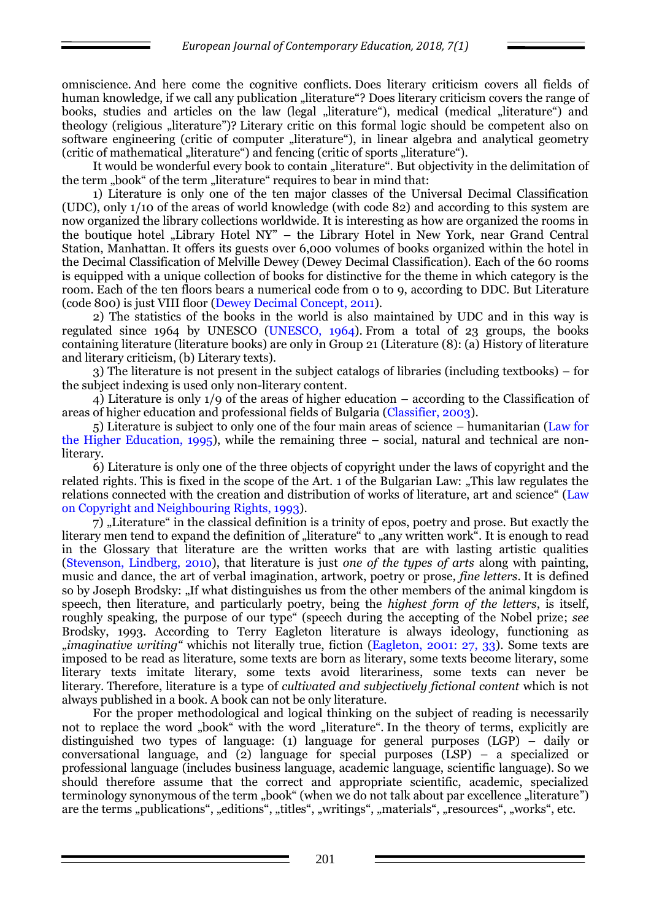omniscience. And here come the cognitive conflicts. Does literary criticism covers all fields of human knowledge, if we call any publication "literature"? Does literary criticism covers the range of books, studies and articles on the law (legal "literature"), medical (medical "literature") and theology (religious "literature")? Literary critic on this formal logic should be competent also on software engineering (critic of computer "literature"), in linear algebra and analytical geometry (critic of mathematical "literature") and fencing (critic of sports "literature").

It would be wonderful every book to contain "literature". But objectivity in the delimitation of the term "book" of the term "literature" requires to bear in mind that:

1) Literature is only one of the ten major classes of the Universal Decimal Classification (UDC), only 1/10 of the areas of world knowledge (with code 82) and according to this system are now organized the library collections worldwide. It is interesting as how are organized the rooms in the boutique hotel "Library Hotel NY" – the Library Hotel in New York, near Grand Central Station, Manhattan. It offers its guests over 6,000 volumes of books organized within the hotel in the Decimal Classification of Melville Dewey (Dewey Decimal Classification). Each of the 60 rooms is equipped with a unique collection of books for distinctive for the theme in which category is the room. Each of the ten floors bears a numerical code from 0 to 9, according to DDC. But Literature (code 800) is just VIII floor (Dewey Decimal Concept, 2011).

2) The statistics of the books in the world is also maintained by UDC and in this way is regulated since 1964 by UNESCO (UNESCO, 1964). From a total of 23 groups, the books containing literature (literature books) are only in Group 21 (Literature (8): (a) History of literature and literary criticism, (b) Literary texts).

3) The literature is not present in the subject catalogs of libraries (including textbooks) – for the subject indexing is used only non-literary content.

4) Literature is only 1/9 of the areas of higher education – according to the Classification of areas of higher education and professional fields of Bulgaria (Classifier, 2003).

5) Literature is subject to only one of the four main areas of science – humanitarian (Law for the Higher Education, 1995), while the remaining three – social, natural and technical are nonliterary.

6) Literature is only one of the three objects of copyright under the laws of copyright and the related rights. This is fixed in the scope of the Art. 1 of the Bulgarian Law: "This law regulates the relations connected with the creation and distribution of works of literature, art and science" (Law on Copyright and Neighbouring Rights, 1993).

7) "Literature" in the classical definition is a trinity of epos, poetry and prose. But exactly the literary men tend to expand the definition of "literature" to "any written work". It is enough to read in the Glossary that literature are the written works that are with lasting artistic qualities (Stevenson, Lindberg, 2010), that literature is just *one of the types of arts* along with painting, music and dance, the art of verbal imagination, artwork, poetry or prose*, fine letters*. It is defined so by Joseph Brodsky: "If what distinguishes us from the other members of the animal kingdom is speech, then literature, and particularly poetry, being the *highest form of the letters*, is itself, roughly speaking, the purpose of our type" (speech during the accepting of the Nobel prize; *see* Brodsky, 1993. According to Terry Eagleton literature is always ideology, functioning as "*imaginative writing"* whichis not literally true, fiction (Eagleton, 2001: 27, 33). Some texts are imposed to be read as literature, some texts are born as literary, some texts become literary, some literary texts imitate literary, some texts avoid literariness, some texts can never be literary. Therefore, literature is a type of *cultivated and subjectively fictional content* which is not always published in a book. A book can not be only literature.

For the proper methodological and logical thinking on the subject of reading is necessarily not to replace the word "book" with the word "literature". In the theory of terms, explicitly are distinguished two types of language: (1) language for general purposes (LGP) – daily or conversational language, and (2) language for special purposes (LSP) – a specialized or professional language (includes business language, academic language, scientific language). So we should therefore assume that the correct and appropriate scientific, academic, specialized terminology synonymous of the term "book" (when we do not talk about par excellence "literature") are the terms "publications", "editions", "titles", "writings", "materials", "resources", "works", etc.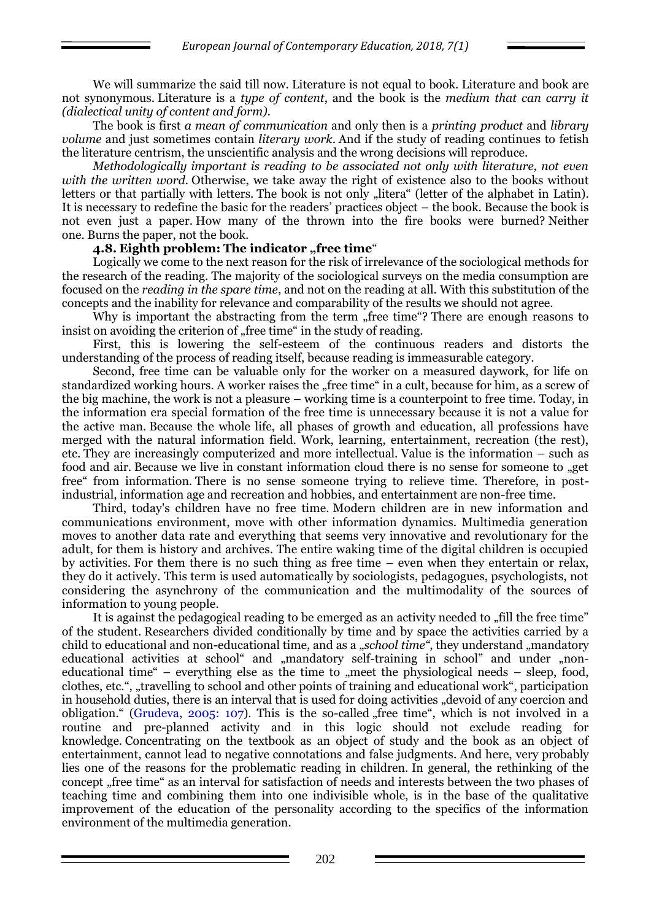We will summarize the said till now. Literature is not equal to book. Literature and book are not synonymous. Literature is a *type of content*, and the book is the *medium that can carry it (dialectical unity of content and form).*

The book is first *a mean of communication* and only then is a *printing product* and *library volume* and just sometimes contain *literary work*. And if the study of reading continues to fetish the literature centrism, the unscientific analysis and the wrong decisions will reproduce.

*Methodologically important is reading to be associated not only with literature, not even with the written word.* Otherwise, we take away the right of existence also to the books without letters or that partially with letters. The book is not only "litera" (letter of the alphabet in Latin). It is necessary to redefine the basic for the readers' practices object – the book. Because the book is not even just a paper. How many of the thrown into the fire books were burned? Neither one. Burns the paper, not the book.

### **4.8. Eighth problem: The indicator "free time**"

Logically we come to the next reason for the risk of irrelevance of the sociological methods for the research of the reading. The majority of the sociological surveys on the media consumption are focused on the *reading in the spare time*, and not on the reading at all. With this substitution of the concepts and the inability for relevance and comparability of the results we should not agree.

Why is important the abstracting from the term "free time"? There are enough reasons to insist on avoiding the criterion of "free time" in the study of reading.

First, this is lowering the self-esteem of the continuous readers and distorts the understanding of the process of reading itself, because reading is immeasurable category.

Second, free time can be valuable only for the worker on a measured daywork, for life on standardized working hours. A worker raises the "free time" in a cult, because for him, as a screw of the big machine, the work is not a pleasure – working time is a counterpoint to free time. Today, in the information era special formation of the free time is unnecessary because it is not a value for the active man. Because the whole life, all phases of growth and education, all professions have merged with the natural information field. Work, learning, entertainment, recreation (the rest), etc. They are increasingly computerized and more intellectual. Value is the information – such as food and air. Because we live in constant information cloud there is no sense for someone to "get free" from information. There is no sense someone trying to relieve time. Therefore, in postindustrial, information age and recreation and hobbies, and entertainment are non-free time.

Third, today's children have no free time. Modern children are in new information and communications environment, move with other information dynamics. Multimedia generation moves to another data rate and everything that seems very innovative and revolutionary for the adult, for them is history and archives. The entire waking time of the digital children is occupied by activities. For them there is no such thing as free time – even when they entertain or relax, they do it actively. This term is used automatically by sociologists, pedagogues, psychologists, not considering the asynchrony of the communication and the multimodality of the sources of information to young people.

It is against the pedagogical reading to be emerged as an activity needed to "fill the free time" of the student. Researchers divided conditionally by time and by space the activities carried by a child to educational and non-educational time, and as a "*school time*", they understand "mandatory educational activities at school" and "mandatory self-training in school" and under "noneducational time" – everything else as the time to  $\mu$  meet the physiological needs – sleep, food, clothes, etc.", "travelling to school and other points of training and educational work", participation in household duties, there is an interval that is used for doing activities "devoid of any coercion and obligation." (Grudeva, 2005: 107). This is the so-called "free time", which is not involved in a routine and pre-planned activity and in this logic should not exclude reading for knowledge. Concentrating on the textbook as an object of study and the book as an object of entertainment, cannot lead to negative connotations and false judgments. And here, very probably lies one of the reasons for the problematic reading in children. In general, the rethinking of the concept "free time" as an interval for satisfaction of needs and interests between the two phases of teaching time and combining them into one indivisible whole, is in the base of the qualitative improvement of the education of the personality according to the specifics of the information environment of the multimedia generation.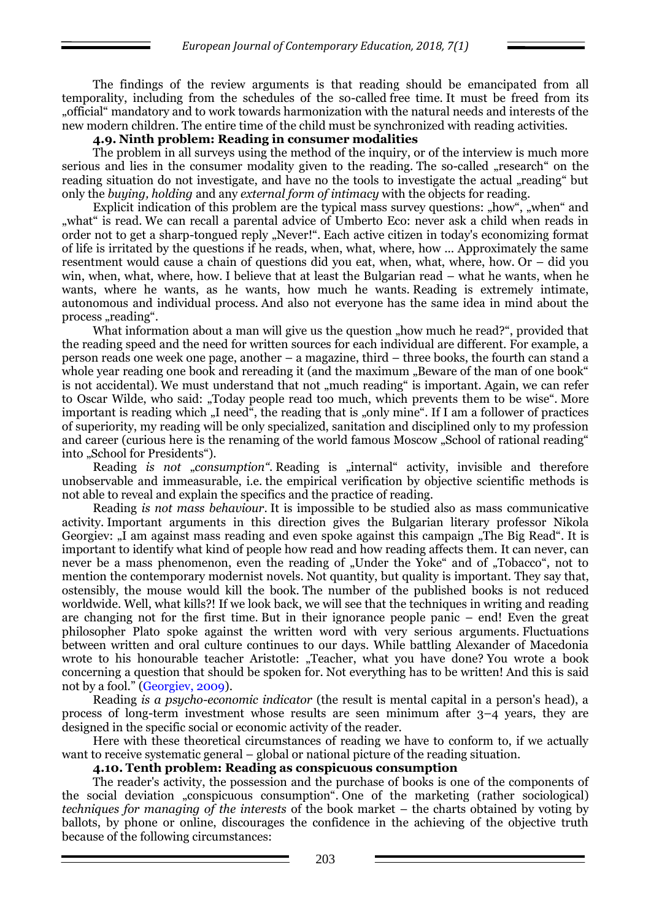The findings of the review arguments is that reading should be emancipated from all temporality, including from the schedules of the so-called free time. It must be freed from its "official" mandatory and to work towards harmonization with the natural needs and interests of the new modern children. The entire time of the child must be synchronized with reading activities.

#### **4.9. Ninth problem: Reading in consumer modalities**

The problem in all surveys using the method of the inquiry, or of the interview is much more serious and lies in the consumer modality given to the reading. The so-called "research" on the reading situation do not investigate, and have no the tools to investigate the actual "reading" but only the *buying, holding* and any *external form of intimacy* with the objects for reading.

Explicit indication of this problem are the typical mass survey questions: "how", "when" and "what" is read. We can recall a parental advice of Umberto Eco: never ask a child when reads in order not to get a sharp-tongued reply "Never!". Each active citizen in today's economizing format of life is irritated by the questions if he reads, when, what, where, how ... Approximately the same resentment would cause a chain of questions did you eat, when, what, where, how. Or – did you win, when, what, where, how. I believe that at least the Bulgarian read – what he wants, when he wants, where he wants, as he wants, how much he wants. Reading is extremely intimate, autonomous and individual process. And also not everyone has the same idea in mind about the process "reading".

What information about a man will give us the question "how much he read?", provided that the reading speed and the need for written sources for each individual are different. For example, a person reads one week one page, another – a magazine, third – three books, the fourth can stand a whole year reading one book and rereading it (and the maximum "Beware of the man of one book" is not accidental). We must understand that not "much reading" is important. Again, we can refer to Oscar Wilde, who said: "Today people read too much, which prevents them to be wise". More important is reading which "I need", the reading that is "only mine". If I am a follower of practices of superiority, my reading will be only specialized, sanitation and disciplined only to my profession and career (curious here is the renaming of the world famous Moscow "School of rational reading" into "School for Presidents").

Reading *is not* "*consumption*". Reading is "internal" activity, invisible and therefore unobservable and immeasurable, i.e. the empirical verification by objective scientific methods is not able to reveal and explain the specifics and the practice of reading.

Reading *is not mass behaviour*. It is impossible to be studied also as mass communicative activity. Important arguments in this direction gives the Bulgarian literary professor Nikola Georgiev: "I am against mass reading and even spoke against this campaign "The Big Read". It is important to identify what kind of people how read and how reading affects them. It can never, can never be a mass phenomenon, even the reading of "Under the Yoke" and of "Tobacco", not to mention the contemporary modernist novels. Not quantity, but quality is important. They say that, ostensibly, the mouse would kill the book. The number of the published books is not reduced worldwide. Well, what kills?! If we look back, we will see that the techniques in writing and reading are changing not for the first time. But in their ignorance people panic – end! Even the great philosopher Plato spoke against the written word with very serious arguments. Fluctuations between written and oral culture continues to our days. While battling Alexander of Macedonia wrote to his honourable teacher Aristotle: "Teacher, what you have done? You wrote a book concerning a question that should be spoken for. Not everything has to be written! And this is said not by a fool." (Georgiev, 2009).

Reading *is a psycho-economic indicator* (the result is mental capital in a person's head), a process of long-term investment whose results are seen minimum after 3–4 years, they are designed in the specific social or economic activity of the reader.

Here with these theoretical circumstances of reading we have to conform to, if we actually want to receive systematic general – global or national picture of the reading situation.

### **4.10. Tenth problem: Reading as conspicuous consumption**

The reader's activity, the possession and the purchase of books is one of the components of the social deviation "conspicuous consumption". One of the marketing (rather sociological) *techniques for managing of the interests* of the book market – the charts obtained by voting by ballots, by phone or online, discourages the confidence in the achieving of the objective truth because of the following circumstances: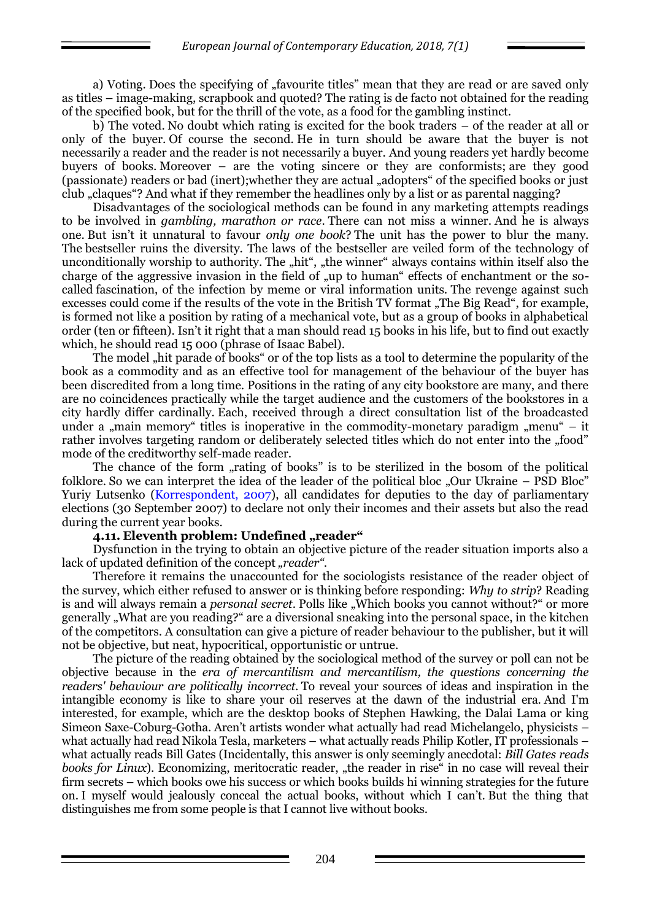a) Voting. Does the specifying of "favourite titles" mean that they are read or are saved only as titles – image-making, scrapbook and quoted? The rating is de facto not obtained for the reading of the specified book, but for the thrill of the vote, as a food for the gambling instinct.

b) The voted. No doubt which rating is excited for the book traders – of the reader at all or only of the buyer. Of course the second. He in turn should be aware that the buyer is not necessarily a reader and the reader is not necessarily a buyer. And young readers yet hardly become buyers of books. Moreover – are the voting sincere or they are conformists; are they good (passionate) readers or bad (inert);whether they are actual "adopters" of the specified books or just club "claques"? And what if they remember the headlines only by a list or as parental nagging?

Disadvantages of the sociological methods can be found in any marketing attempts readings to be involved in *gambling, marathon or race*. There can not miss a winner. And he is always one. But isn't it unnatural to favour *only one book*? The unit has the power to blur the many. The bestseller ruins the diversity. The laws of the bestseller are veiled form of the technology of unconditionally worship to authority. The "hit", "the winner" always contains within itself also the charge of the aggressive invasion in the field of "up to human" effects of enchantment or the socalled fascination, of the infection by meme or viral information units. The revenge against such excesses could come if the results of the vote in the British TV format "The Big Read", for example, is formed not like a position by rating of a mechanical vote, but as a group of books in alphabetical order (ten or fifteen). Isn't it right that a man should read 15 books in his life, but to find out exactly which, he should read 15 000 (phrase of Isaac Babel).

The model "hit parade of books" or of the top lists as a tool to determine the popularity of the book as a commodity and as an effective tool for management of the behaviour of the buyer has been discredited from a long time. Positions in the rating of any city bookstore are many, and there are no coincidences practically while the target audience and the customers of the bookstores in a city hardly differ cardinally. Each, received through a direct consultation list of the broadcasted under a  $\mu$  main memory titles is inoperative in the commodity-monetary paradigm  $\mu$ menu" – it rather involves targeting random or deliberately selected titles which do not enter into the "food" mode of the creditworthy self-made reader.

The chance of the form "rating of books" is to be sterilized in the bosom of the political folklore. So we can interpret the idea of the leader of the political bloc "Our Ukraine – PSD Bloc" Yuriy Lutsenko (Korrespondent, 2007), all candidates for deputies to the day of parliamentary elections (30 September 2007) to declare not only their incomes and their assets but also the read during the current year books.

# **4.11. Eleventh problem: Undefined ..reader**"

Dysfunction in the trying to obtain an objective picture of the reader situation imports also a lack of updated definition of the concept "*reader"*.

Therefore it remains the unaccounted for the sociologists resistance of the reader object of the survey, which either refused to answer or is thinking before responding: *Why to strip*? Reading is and will always remain a *personal secret*. Polls like "Which books you cannot without?" or more generally "What are you reading?" are a diversional sneaking into the personal space, in the kitchen of the competitors. A consultation can give a picture of reader behaviour to the publisher, but it will not be objective, but neat, hypocritical, opportunistic or untrue.

The picture of the reading obtained by the sociological method of the survey or poll can not be objective because in the *era of mercantilism and mercantilism, the questions concerning the readers' behaviour are politically incorrect*. To reveal your sources of ideas and inspiration in the intangible economy is like to share your oil reserves at the dawn of the industrial era. And I'm interested, for example, which are the desktop books of Stephen Hawking, the Dalai Lama or king Simeon Saxe-Coburg-Gotha. Aren't artists wonder what actually had read Michelangelo, physicists – what actually had read Nikola Tesla, marketers – what actually reads Philip Kotler, IT professionals – what actually reads Bill Gates (Incidentally, this answer is only seemingly anecdotal: *Bill Gates reads books for Linux*). Economizing, meritocratic reader, "the reader in rise" in no case will reveal their firm secrets – which books owe his success or which books builds hi winning strategies for the future on. I myself would jealously conceal the actual books, without which I can't. But the thing that distinguishes me from some people is that I cannot live without books.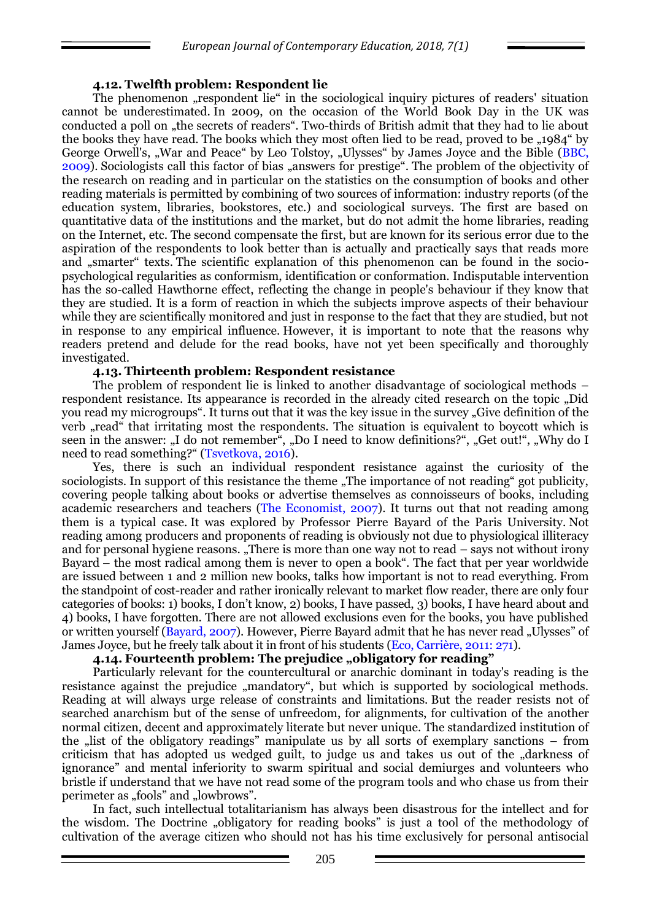#### **4.12. Twelfth problem: Respondent lie**

The phenomenon "respondent lie" in the sociological inquiry pictures of readers' situation cannot be underestimated. In 2009, on the occasion of the World Book Day in the UK was conducted a poll on "the secrets of readers". Two-thirds of British admit that they had to lie about the books they have read. The books which they most often lied to be read, proved to be "1984" by George Orwell's, "War and Peace" by Leo Tolstoy, "Ulysses" by James Joyce and the Bible (BBC, 2009). Sociologists call this factor of bias "answers for prestige". The problem of the objectivity of the research on reading and in particular on the statistics on the consumption of books and other reading materials is permitted by combining of two sources of information: industry reports (of the education system, libraries, bookstores, etc.) and sociological surveys. The first are based on quantitative data of the institutions and the market, but do not admit the home libraries, reading on the Internet, etc. The second compensate the first, but are known for its serious error due to the aspiration of the respondents to look better than is actually and practically says that reads more and "smarter" texts. The scientific explanation of this phenomenon can be found in the sociopsychological regularities as conformism, identification or conformation. Indisputable intervention has the so-called Hawthorne effect, reflecting the change in people's behaviour if they know that they are studied. It is a form of reaction in which the subjects improve aspects of their behaviour while they are scientifically monitored and just in response to the fact that they are studied, but not in response to any empirical influence. However, it is important to note that the reasons why readers pretend and delude for the read books, have not yet been specifically and thoroughly investigated.

#### **4.13. Thirteenth problem: Respondent resistance**

The problem of respondent lie is linked to another disadvantage of sociological methods – respondent resistance. Its appearance is recorded in the already cited research on the topic "Did you read my microgroups". It turns out that it was the key issue in the survey "Give definition of the verb "read" that irritating most the respondents. The situation is equivalent to boycott which is seen in the answer: "I do not remember", "Do I need to know definitions?", "Get out!", "Why do I need to read something?" (Tsvetkova, 2016).

Yes, there is such an individual respondent resistance against the curiosity of the sociologists. In support of this resistance the theme "The importance of not reading" got publicity, covering people talking about books or advertise themselves as connoisseurs of books, including academic researchers and teachers (The Economist, 2007). It turns out that not reading among them is a typical case. It was explored by Professor Pierre Bayard of the Paris University. Not reading among producers and proponents of reading is obviously not due to physiological illiteracy and for personal hygiene reasons. "There is more than one way not to read – says not without irony Bayard – the most radical among them is never to open a book". The fact that per year worldwide are issued between 1 and 2 million new books, talks how important is not to read everything. From the standpoint of cost-reader and rather ironically relevant to market flow reader, there are only four categories of books: 1) books, I don't know, 2) books, I have passed, 3) books, I have heard about and 4) books, I have forgotten. There are not allowed exclusions even for the books, you have published or written yourself (Bayard, 2007). However, Pierre Bayard admit that he has never read "Ulysses" of James Joyce, but he freely talk about it in front of his students (Eco, Carrière, 2011: 271).

#### **4.14. Fourteenth problem: The prejudice "obligatory for reading"**

Particularly relevant for the countercultural or anarchic dominant in today's reading is the resistance against the prejudice "mandatory", but which is supported by sociological methods. Reading at will always urge release of constraints and limitations. But the reader resists not of searched anarchism but of the sense of unfreedom, for alignments, for cultivation of the another normal citizen, decent and approximately literate but never unique. The standardized institution of the  $\mu$ list of the obligatory readings" manipulate us by all sorts of exemplary sanctions – from criticism that has adopted us wedged guilt, to judge us and takes us out of the "darkness of ignorance" and mental inferiority to swarm spiritual and social demiurges and volunteers who bristle if understand that we have not read some of the program tools and who chase us from their perimeter as "fools" and "lowbrows".

In fact, such intellectual totalitarianism has always been disastrous for the intellect and for the wisdom. The Doctrine "obligatory for reading books" is just a tool of the methodology of cultivation of the average citizen who should not has his time exclusively for personal antisocial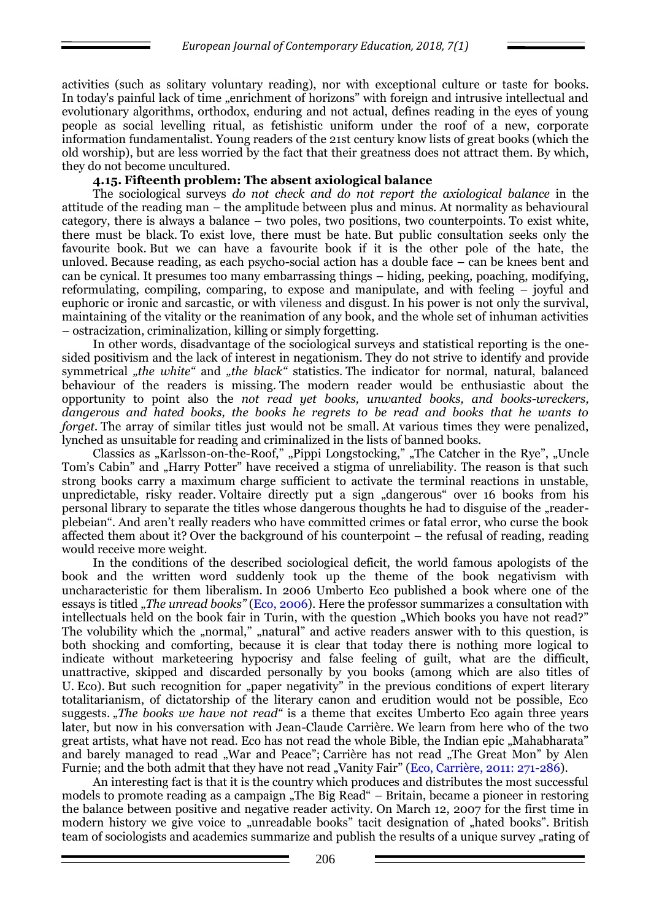activities (such as solitary voluntary reading), nor with exceptional culture or taste for books. In today's painful lack of time "enrichment of horizons" with foreign and intrusive intellectual and evolutionary algorithms, orthodox, enduring and not actual, defines reading in the eyes of young people as social levelling ritual, as fetishistic uniform under the roof of a new, corporate information fundamentalist. Young readers of the 21st century know lists of great books (which the old worship), but are less worried by the fact that their greatness does not attract them. By which, they do not become uncultured.

### **4.15. Fifteenth problem: The absent axiological balance**

The sociological surveys *do not check and do not report the axiological balance* in the attitude of the reading man – the amplitude between plus and minus. At normality as behavioural category, there is always a balance – two poles, two positions, two counterpoints. To exist white, there must be black. To exist love, there must be hate. But public consultation seeks only the favourite book. But we can have a favourite book if it is the other pole of the hate, the unloved. Because reading, as each psycho-social action has a double face – can be knees bent and can be cynical. It presumes too many embarrassing things – hiding, peeking, poaching, modifying, reformulating, compiling, comparing, to expose and manipulate, and with feeling – joyful and euphoric or ironic and sarcastic, or with vileness and disgust. In his power is not only the survival, maintaining of the vitality or the reanimation of any book, and the whole set of inhuman activities – ostracization, criminalization, killing or simply forgetting.

In other words, disadvantage of the sociological surveys and statistical reporting is the onesided positivism and the lack of interest in negationism. They do not strive to identify and provide symmetrical *"the white"* and *"the black"* statistics. The indicator for normal, natural, balanced behaviour of the readers is missing. The modern reader would be enthusiastic about the opportunity to point also the *not read yet books, unwanted books, and books-wreckers, dangerous and hated books, the books he regrets to be read and books that he wants to forget.* The array of similar titles just would not be small. At various times they were penalized, lynched as unsuitable for reading and criminalized in the lists of banned books.

Classics as "Karlsson-on-the-Roof," "Pippi Longstocking," "The Catcher in the Rye", "Uncle Tom's Cabin" and "Harry Potter" have received a stigma of unreliability. The reason is that such strong books carry a maximum charge sufficient to activate the terminal reactions in unstable, unpredictable, risky reader. Voltaire directly put a sign "dangerous" over 16 books from his personal library to separate the titles whose dangerous thoughts he had to disguise of the "readerplebeian". And aren't really readers who have committed crimes or fatal error, who curse the book affected them about it? Over the background of his counterpoint – the refusal of reading, reading would receive more weight.

In the conditions of the described sociological deficit, the world famous apologists of the book and the written word suddenly took up the theme of the book negativism with uncharacteristic for them liberalism. In 2006 Umberto Eco published a book where one of the essays is titled "*The unread books"* (Eco, 2006). Here the professor summarizes a consultation with intellectuals held on the book fair in Turin, with the question "Which books you have not read?" The volubility which the "normal," "natural" and active readers answer with to this question, is both shocking and comforting, because it is clear that today there is nothing more logical to indicate without marketeering hypocrisy and false feeling of guilt, what are the difficult, unattractive, skipped and discarded personally by you books (among which are also titles of U. Eco). But such recognition for "paper negativity" in the previous conditions of expert literary totalitarianism, of dictatorship of the literary canon and erudition would not be possible, Eco suggests. "The books we have not read" is a theme that excites Umberto Eco again three years later, but now in his conversation with Jean-Claude Carrière. We learn from here who of the two great artists, what have not read. Eco has not read the whole Bible, the Indian epic "Mahabharata" and barely managed to read "War and Peace"; Carrière has not read "The Great Mon" by Alen Furnie; and the both admit that they have not read "Vanity Fair" (Eco, Carrière, 2011: 271-286).

An interesting fact is that it is the country which produces and distributes the most successful models to promote reading as a campaign "The Big Read" – Britain, became a pioneer in restoring the balance between positive and negative reader activity. On March 12, 2007 for the first time in modern history we give voice to "unreadable books" tacit designation of "hated books". British team of sociologists and academics summarize and publish the results of a unique survey , rating of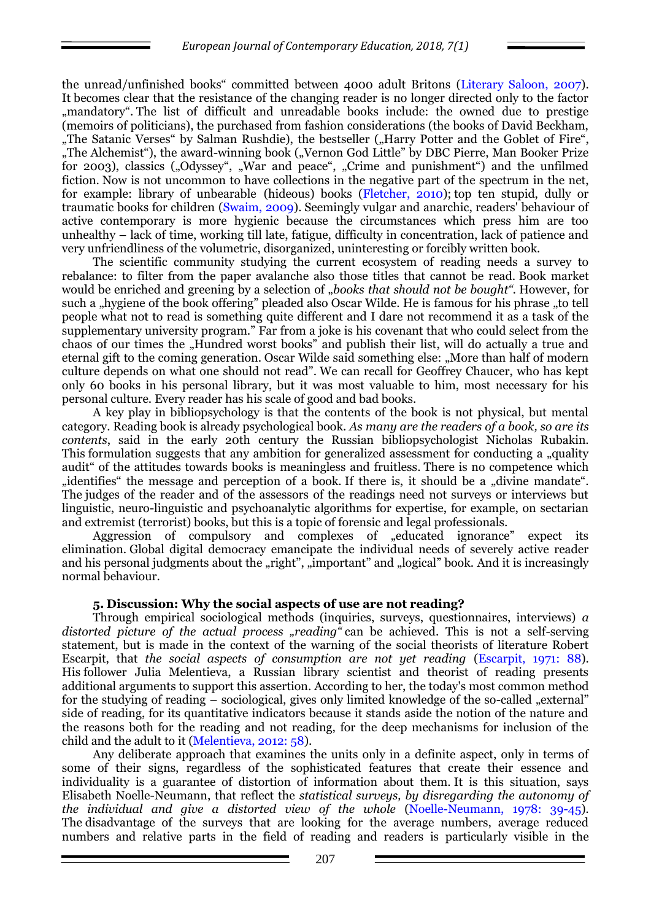the unread/unfinished books" committed between 4000 adult Britons (Literary Saloon, 2007). It becomes clear that the resistance of the changing reader is no longer directed only to the factor "mandatory". The list of difficult and unreadable books include: the owned due to prestige (memoirs of politicians), the purchased from fashion considerations (the books of David Beckham, "The Satanic Verses" by Salman Rushdie), the bestseller ("Harry Potter and the Goblet of Fire", "The Alchemist"), the award-winning book ("Vernon God Little" by DBC Pierre, Man Booker Prize for 2003), classics ("Odyssey", "War and peace", "Crime and punishment") and the unfilmed fiction. Now is not uncommon to have collections in the negative part of the spectrum in the net, for example: library of unbearable (hideous) books [\(Fletcher,](http://www.time.com/time/letters/email_letter.html) 2010); top ten stupid, dully or traumatic books for children (Swaim, 2009). Seemingly vulgar and anarchic, readers' behaviour of active contemporary is more hygienic because the circumstances which press him are too unhealthy – lack of time, working till late, fatigue, difficulty in concentration, lack of patience and very unfriendliness of the volumetric, disorganized, uninteresting or forcibly written book.

The scientific community studying the current ecosystem of reading needs a survey to rebalance: to filter from the paper avalanche also those titles that cannot be read. Book market would be enriched and greening by a selection of "books that should not be bought". However, for such a "hygiene of the book offering" pleaded also Oscar Wilde. He is famous for his phrase "to tell people what not to read is something quite different and I dare not recommend it as a task of the supplementary university program." Far from a joke is his covenant that who could select from the chaos of our times the "Hundred worst books" and publish their list, will do actually a true and eternal gift to the coming generation. Oscar Wilde said something else: "More than half of modern culture depends on what one should not read". We can recall for Geoffrey Chaucer, who has kept only 60 books in his personal library, but it was most valuable to him, most necessary for his personal culture. Every reader has his scale of good and bad books.

A key play in bibliopsychology is that the contents of the book is not physical, but mental category. Reading book is already psychological book. *As many are the readers of a book, so are its contents*, said in the early 20th century the Russian bibliopsychologist Nicholas Rubakin. This formulation suggests that any ambition for generalized assessment for conducting a "quality" audit" of the attitudes towards books is meaningless and fruitless. There is no competence which "identifies" the message and perception of a book. If there is, it should be a "divine mandate". The judges of the reader and of the assessors of the readings need not surveys or interviews but linguistic, neuro-linguistic and psychoanalytic algorithms for expertise, for example, on sectarian and extremist (terrorist) books, but this is a topic of forensic and legal professionals.

Aggression of compulsory and complexes of "educated ignorance" expect its elimination. Global digital democracy emancipate the individual needs of severely active reader and his personal judgments about the "right", "important" and "logical" book. And it is increasingly normal behaviour.

# **5. Discussion: Why the social aspects of use are not reading?**

Through empirical sociological methods (inquiries, surveys, questionnaires, interviews) *a*  distorted picture of the actual process "reading" can be achieved. This is not a self-serving statement, but is made in the context of the warning of the social theorists of literature Robert Escarpit, that *the social aspects of consumption are not yet reading* (Escarpit, 1971: 88). His follower Julia Melentieva, a Russian library scientist and theorist of reading presents additional arguments to support this assertion. According to her, the today's most common method for the studying of reading – sociological, gives only limited knowledge of the so-called "external" side of reading, for its quantitative indicators because it stands aside the notion of the nature and the reasons both for the reading and not reading, for the deep mechanisms for inclusion of the child and the adult to it (Melentieva, 2012: 58).

Any deliberate approach that examines the units only in a definite aspect, only in terms of some of their signs, regardless of the sophisticated features that create their essence and individuality is a guarantee of distortion of information about them. It is this situation, says Elisabeth Noelle-Neumann, that reflect the *statistical surveys, by disregarding the autonomy of the individual and give a distorted view of the whole* (Noelle-Neumann, 1978: 39-45)*.* The disadvantage of the surveys that are looking for the average numbers, average reduced numbers and relative parts in the field of reading and readers is particularly visible in the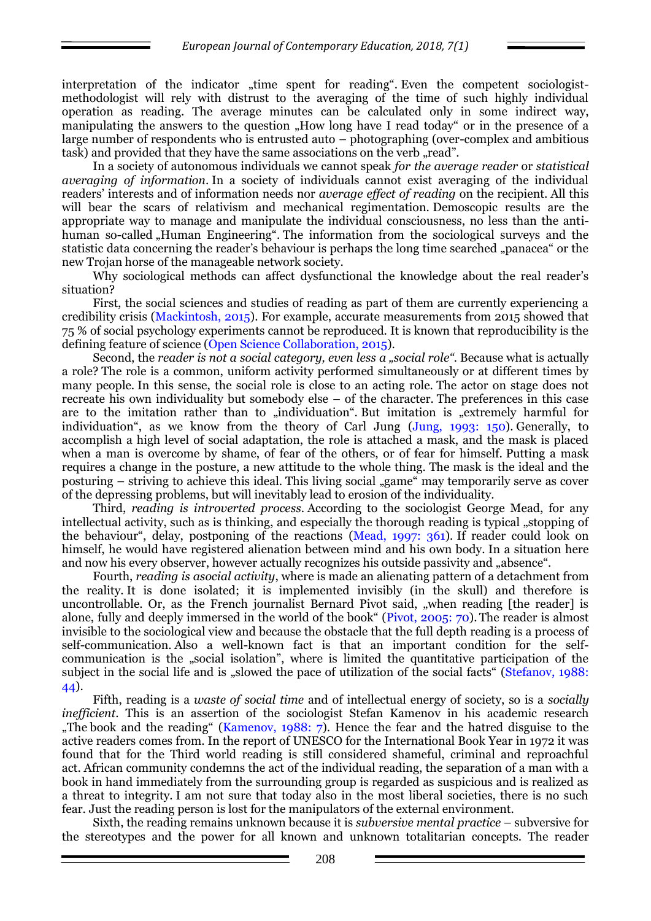interpretation of the indicator "time spent for reading". Even the competent sociologistmethodologist will rely with distrust to the averaging of the time of such highly individual operation as reading. The average minutes can be calculated only in some indirect way, manipulating the answers to the question "How long have I read today" or in the presence of a large number of respondents who is entrusted auto – photographing (over-complex and ambitious task) and provided that they have the same associations on the verb "read".

In a society of autonomous individuals we cannot speak *for the average reader* or *statistical averaging of information*. In a society of individuals cannot exist averaging of the individual readers' interests and of information needs nor *average effect of reading* on the recipient. All this will bear the scars of relativism and mechanical regimentation. Demoscopic results are the appropriate way to manage and manipulate the individual consciousness, no less than the antihuman so-called "Human Engineering". The information from the sociological surveys and the statistic data concerning the reader's behaviour is perhaps the long time searched "panacea" or the new Trojan horse of the manageable network society.

Why sociological methods can affect dysfunctional the knowledge about the real reader's situation?

First, the social sciences and studies of reading as part of them are currently experiencing a credibility crisis (Mackintosh, 2015). For example, accurate measurements from 2015 showed that 75 % of social psychology experiments cannot be reproduced. It is known that reproducibility is the defining feature of science (Open Science Collaboration, 2015).

Second, the *reader is not a social category, even less a "social role".* Because what is actually a role? The role is a common, uniform activity performed simultaneously or at different times by many people. In this sense, the social role is close to an acting role. The actor on stage does not recreate his own individuality but somebody else – of the character. The preferences in this case are to the imitation rather than to "individuation". But imitation is "extremely harmful for individuation", as we know from the theory of Carl Jung (Jung, 1993: 150). Generally, to accomplish a high level of social adaptation, the role is attached a mask, and the mask is placed when a man is overcome by shame, of fear of the others, or of fear for himself. Putting a mask requires a change in the posture, a new attitude to the whole thing. The mask is the ideal and the posturing – striving to achieve this ideal. This living social "game" may temporarily serve as cover of the depressing problems, but will inevitably lead to erosion of the individuality.

Third, *reading is introverted process*. According to the sociologist George Mead, for any intellectual activity, such as is thinking, and especially the thorough reading is typical "stopping of the behaviour", delay, postponing of the reactions (Mead, 1997: 361). If reader could look on himself, he would have registered alienation between mind and his own body. In a situation here and now his every observer, however actually recognizes his outside passivity and "absence".

Fourth, *reading is asocial activity*, where is made an alienating pattern of a detachment from the reality. It is done isolated; it is implemented invisibly (in the skull) and therefore is uncontrollable. Or, as the French journalist Bernard Pivot said, "when reading [the reader] is alone, fully and deeply immersed in the world of the book" (Pivot, 2005: 70).The reader is almost invisible to the sociological view and because the obstacle that the full depth reading is a process of self-communication. Also a well-known fact is that an important condition for the selfcommunication is the "social isolation", where is limited the quantitative participation of the subject in the social life and is "slowed the pace of utilization of the social facts" (Stefanov, 1988: 44).

Fifth, reading is a *waste of social time* and of intellectual energy of society, so is a *socially inefficient*. This is an assertion of the sociologist Stefan Kamenov in his academic research "The book and the reading" (Kamenov, 1988: 7). Hence the fear and the hatred disguise to the active readers comes from. In the report of UNESCO for the International Book Year in 1972 it was found that for the Third world reading is still considered shameful, criminal and reproachful act. African community condemns the act of the individual reading, the separation of a man with a book in hand immediately from the surrounding group is regarded as suspicious and is realized as a threat to integrity. I am not sure that today also in the most liberal societies, there is no such fear. Just the reading person is lost for the manipulators of the external environment.

Sixth, the reading remains unknown because it is *subversive mental practice* – subversive for the stereotypes and the power for all known and unknown totalitarian concepts. The reader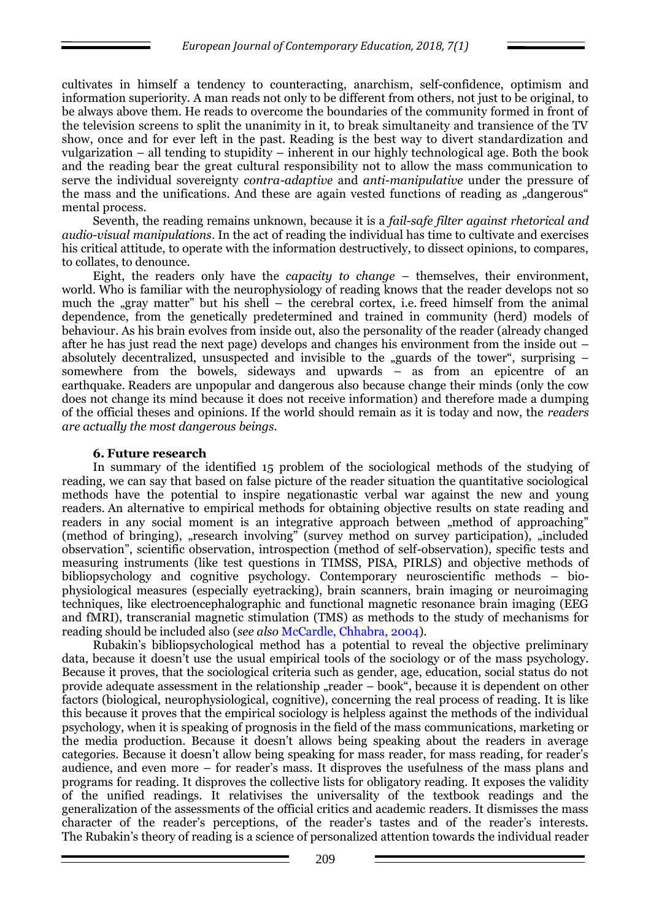cultivates in himself a tendency to counteracting, anarchism, self-confidence, optimism and information superiority. A man reads not only to be different from others, not just to be original, to be always above them. He reads to overcome the boundaries of the community formed in front of the television screens to split the unanimity in it, to break simultaneity and transience of the TV show, once and for ever left in the past. Reading is the best way to divert standardization and vulgarization – all tending to stupidity – inherent in our highly technological age. Both the book and the reading bear the great cultural responsibility not to allow the mass communication to serve the individual sovereignty *contra-adaptive* and *anti-manipulative* under the pressure of the mass and the unifications. And these are again vested functions of reading as "dangerous" mental process.

Seventh, the reading remains unknown, because it is a *fail-safe filter against rhetorical and audio-visual manipulations*. In the act of reading the individual has time to cultivate and exercises his critical attitude, to operate with the information destructively, to dissect opinions, to compares, to collates, to denounce.

Eight, the readers only have the *capacity to change* – themselves, their environment, world. Who is familiar with the neurophysiology of reading knows that the reader develops not so much the "gray matter" but his shell – the cerebral cortex, i.e. freed himself from the animal dependence, from the genetically predetermined and trained in community (herd) models of behaviour. As his brain evolves from inside out, also the personality of the reader (already changed after he has just read the next page) develops and changes his environment from the inside out – absolutely decentralized, unsuspected and invisible to the "guards of the tower", surprising  $$ somewhere from the bowels, sideways and upwards – as from an epicentre of an earthquake. Readers are unpopular and dangerous also because change their minds (only the cow does not change its mind because it does not receive information) and therefore made a dumping of the official theses and opinions. If the world should remain as it is today and now, the *readers are actually the most dangerous beings.*

#### **6. Future research**

In summary of the identified 15 problem of the sociological methods of the studying of reading, we can say that based on false picture of the reader situation the quantitative sociological methods have the potential to inspire negationastic verbal war against the new and young readers. An alternative to empirical methods for obtaining objective results on state reading and readers in any social moment is an integrative approach between "method of approaching" (method of bringing), "research involving" (survey method on survey participation), "included observation", scientific observation, introspection (method of self-observation), specific tests and measuring instruments (like test questions in TIMSS, PISA, PIRLS) and objective methods of bibliopsychology and cognitive psychology. Contemporary neuroscientific methods – biophysiological measures (especially eyetracking), brain scanners, brain imaging or neuroimaging techniques, like electroencephalographic and functional magnetic resonance brain imaging (EEG and fMRI), transcranial magnetic stimulation (TMS) as methods to the study of mechanisms for reading should be included also (*see also* McCardle, Chhabra, 2004).

Rubakin's bibliopsychological method has a potential to reveal the objective preliminary data, because it doesn't use the usual empirical tools of the sociology or of the mass psychology. Because it proves, that the sociological criteria such as gender, age, education, social status do not provide adequate assessment in the relationship  $n$ reader – book", because it is dependent on other factors (biological, neurophysiological, cognitive), concerning the real process of reading. It is like this because it proves that the empirical sociology is helpless against the methods of the individual psychology, when it is speaking of prognosis in the field of the mass communications, marketing or the media production. Because it doesn't allows being speaking about the readers in average categories. Because it doesn't allow being speaking for mass reader, for mass reading, for reader's audience, and even more – for reader's mass. It disproves the usefulness of the mass plans and programs for reading. It disproves the collective lists for obligatory reading. It exposes the validity of the unified readings. It relativises the universality of the textbook readings and the generalization of the assessments of the official critics and academic readers. It dismisses the mass character of the reader's perceptions, of the reader's tastes and of the reader's interests. The Rubakin's theory of reading is a science of personalized attention towards the individual reader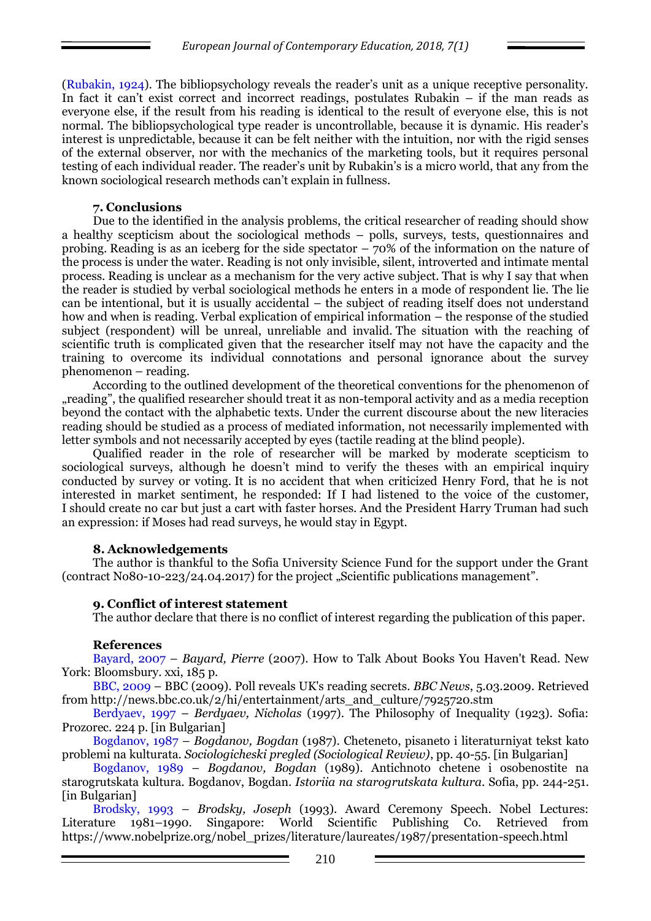(Rubakin, 1924). The bibliopsychology reveals the reader's unit as a unique receptive personality. In fact it can't exist correct and incorrect readings, postulates Rubakin – if the man reads as everyone else, if the result from his reading is identical to the result of everyone else, this is not normal. The bibliopsychological type reader is uncontrollable, because it is dynamic. His reader's interest is unpredictable, because it can be felt neither with the intuition, nor with the rigid senses of the external observer, nor with the mechanics of the marketing tools, but it requires personal testing of each individual reader. The reader's unit by Rubakin's is a micro world, that any from the known sociological research methods can't explain in fullness.

### **7. Conclusions**

Due to the identified in the analysis problems, the critical researcher of reading should show a healthy scepticism about the sociological methods – polls, surveys, tests, questionnaires and probing. Reading is as an iceberg for the side spectator – 70% of the information on the nature of the process is under the water. Reading is not only invisible, silent, introverted and intimate mental process. Reading is unclear as a mechanism for the very active subject. That is why I say that when the reader is studied by verbal sociological methods he enters in a mode of respondent lie. The lie can be intentional, but it is usually accidental – the subject of reading itself does not understand how and when is reading. Verbal explication of empirical information – the response of the studied subject (respondent) will be unreal, unreliable and invalid. The situation with the reaching of scientific truth is complicated given that the researcher itself may not have the capacity and the training to overcome its individual connotations and personal ignorance about the survey phenomenon – reading.

According to the outlined development of the theoretical conventions for the phenomenon of "reading", the qualified researcher should treat it as non-temporal activity and as a media reception beyond the contact with the alphabetic texts. Under the current discourse about the new literacies reading should be studied as a process of mediated information, not necessarily implemented with letter symbols and not necessarily accepted by eyes (tactile reading at the blind people).

Qualified reader in the role of researcher will be marked by moderate scepticism to sociological surveys, although he doesn't mind to verify the theses with an empirical inquiry conducted by survey or voting. It is no accident that when criticized Henry Ford, that he is not interested in market sentiment, he responded: If I had listened to the voice of the customer, I should create no car but just a cart with faster horses. And the President Harry Truman had such an expression: if Moses had read surveys, he would stay in Egypt.

# **8. Acknowledgements**

The author is thankful to the Sofia University Science Fund for the support under the Grant (contract No80-10-223/24.04.2017) for the project "Scientific publications management".

# **9. Conflict of interest statement**

The author declare that there is no conflict of interest regarding the publication of this paper.

#### **References**

Bayard, 2007 – *Bayard, Pierre* (2007). How to Talk About Books You Haven't Read. New York: Bloomsbury. xxi, 185 p.

BBC, 2009 – BBC (2009). Poll reveals UK's reading secrets. *BBC News*, 5.03.2009. Retrieved from [http://news.bbc.co.uk/2/hi/entertainment/arts\\_and\\_culture/7925720.stm](http://news.bbc.co.uk/2/hi/entertainment/arts_and_culture/7925720.stm)

Berdyaev, 1997 – *Berdyaev, Nicholas* (1997). The Philosophy of Inequality (1923). Sofia: Prozorec. 224 p. [in Bulgarian]

Bogdanov, 1987 – *Bogdanov, Bogdan* (1987). Cheteneto, pisaneto i literaturniyat tekst kato problemi na kulturata. *Sociologicheski pregled (Sociological Review)*, pp. 40-55. [in Bulgarian]

Bogdanov, 1989 – *Bogdanov, Bogdan* (1989). Antichnoto chetene i osobenostite na starogrutskata kultura. Bogdanov, Bogdan. *Istoriia na starogrutskata kultura*. Sofia, pp. 244-251. [in Bulgarian]

Brodsky, 1993 – *Brodsky, Joseph* (1993). Award Ceremony Speech. Nobel Lectures: Literature 1981–1990. Singapore: World Scientific Publishing Co. Retrieved from [https://www.nobelprize.org/nobel\\_prizes/literature/laureates/1987/presentation-speech.html](https://www.nobelprize.org/nobel_prizes/literature/laureates/1987/presentation-speech.html)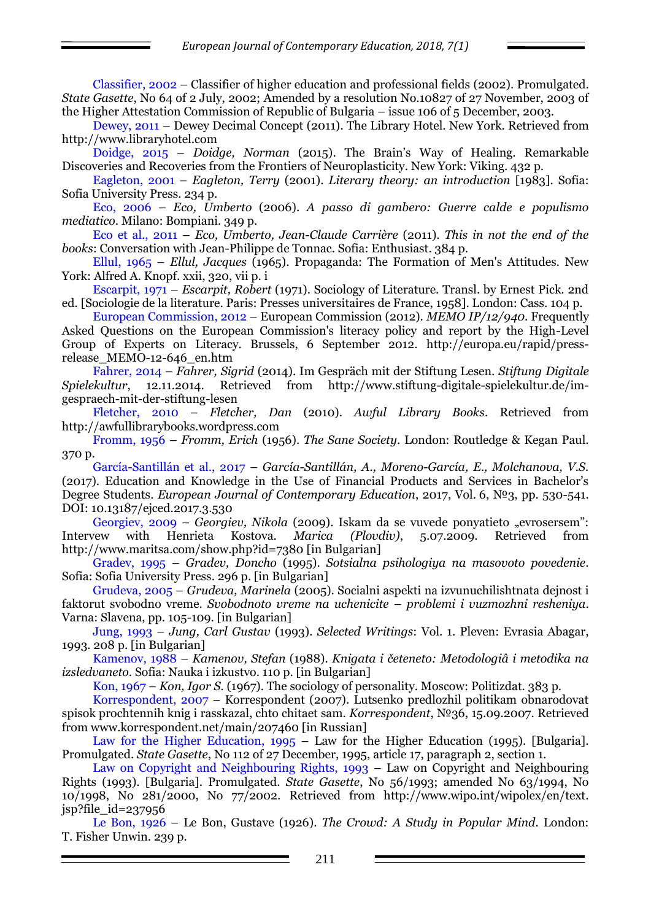Classifier, 2002 – Classifier of higher education and professional fields (2002). Promulgated. *State Gasette*, No 64 of 2 July, 2002; Amended by a resolution No.10827 of 27 November, 2003 of the Higher Attestation Commission of Republic of Bulgaria – issue 106 of 5 December, 2003.

Dewey, 2011 – Dewey Decimal Concept (2011). The Library Hotel. New York. Retrieved from [http://www.libraryhotel.com](http://www.libraryhotel.com/)

Doidge, 2015 – *Doidge, Norman* (2015). The Brain's Way of Healing. Remarkable Discoveries and Recoveries from the Frontiers of Neuroplasticity. New York: Viking. 432 p.

Eagleton, 2001 – *Eagleton, Terry* (2001). *Literary theory: an introduction* [1983]. Sofia: Sofia University Press. 234 p.

Eco, 2006 – *Eco, Umberto* (2006). *A passo di gambero: Guerre calde e populismo mediatico*. Milano: Bompiani. 349 p.

Eco et al., 2011 – *Eco, Umberto, Jean-Claude Carrière* (2011). *This in not the end of the books*: Conversation with Jean-Philippe de Tonnac. Sofia: Enthusiast. 384 p.

Ellul, 1965 – *Ellul, Jacques* (1965). Propaganda: The Formation of Men's Attitudes. New York: Alfred A. Knopf. xxii, 320, vii p. і

Escarpit, 1971 – *Escarpit, Robert* (1971). Sociology of Literature. Transl. by Ernest Pick. 2nd ed. [Sociologie de la literature. Paris: Presses universitaires de France, 1958]. London: Cass. 104 p.

European Commission, 2012 – European Commission (2012). *MEMO IP/12/940*. Frequently Asked Questions on the European Commission's literacy policy and report by the High-Level Group of Experts on Literacy. Brussels, 6 September 2012. [http://europa.eu/rapid/press](http://europa.eu/rapid/press-release_MEMO-12-646_en.htm)[release\\_MEMO-12-646\\_en.htm](http://europa.eu/rapid/press-release_MEMO-12-646_en.htm)

Fahrer, 2014 – *Fahrer, Sigrid* (2014). Im Gespräch mit der Stiftung Lesen. *Stiftung Digitale Spielekultur*, 12.11.2014. Retrieved from http://www.stiftung-digitale-spielekultur.de/imgespraech-mit-der-stiftung-lesen

Fletcher, 2010 – *Fletcher, Dan* (2010). *Awful Library Books*. Retrieved from [http://awfullibrarybooks.wordpress.com](http://awfullibrarybooks.wordpress.com/)

Fromm, 1956 – *Fromm, Erich* (1956). *The Sane Society*. London: Routledge & Kegan Paul. 370 p.

García-Santillán et al., 2017 – *García-Santillán, A., Moreno-García, E., Molchanova, V.S.* (2017). Education and Knowledge in the Use of Financial Products and Services in Bachelor's Degree Students. *European Journal of Contemporary Education*, 2017, Vol. 6, №3, pp. 530-541. DOI: 10.13187/ejced.2017.3.530

Georgiev, 2009 – *Georgiev, Nikola* (2009). Iskam da se vuvede ponyatieto "evrosersem": Intervew with Henrieta Kostova. *Marica (Plovdiv)*, 5.07.2009. Retrieved from <http://www.maritsa.com/show.php?id=7380> [in Bulgarian]

Gradev, 1995 – *Gradev, Doncho* (1995). *Sotsialna psihologiya na masovoto povedenie*. Sofia: Sofia University Press. 296 p. [in Bulgarian]

Grudeva, 2005 – *Grudeva, Marinela* (2005). Socialni aspekti na izvunuchilishtnata dejnost i faktorut svobodno vreme. *Svobodnoto vreme na uchenicite – problemi i vuzmozhni resheniya*. Varna: Slavena, pp. 105-109. [in Bulgarian]

Jung, 1993 – *Jung, Carl Gustav* (1993). *Selected Writings*: Vol. 1. Pleven: Evrasia Abagar, 1993. 208 p. [in Bulgarian]

Kamenov, 1988 – Kamenov, Stefan (1988). *Knigata i četeneto: Metodologiâ i metodika na izsledvaneto*. Sofia: Nauka i izkustvo. 110 p. [in Bulgarian]

Kon, 1967 – *Kon, Igor S.* (1967). The sociology of personality. Moscow: Politizdat. 383 p.

Korrespondent, 2007 – Korrespondent (2007). Lutsenko predlozhil politikam obnarodovat spisok prochtennih knig i rasskazal, chto chitaet sam. *Korrespondent*, №36, 15.09.2007. Retrieved from [www.korrespondent.net/main/207460](http://www.korrespondent.net/main/207460) [in Russian]

Law for the Higher Education, 1995 – Law for the Higher Education (1995). [Bulgaria]. Promulgated. *State Gasette*, No 112 of 27 December, 1995, article 17, paragraph 2, section 1.

Law on Copyright and Neighbouring Rights, 1993 – Law on Copyright and Neighbouring Rights (1993). [Bulgaria]. Promulgated. *State Gasette*, No 56/1993; amended No 63/1994, No 10/1998, No 281/2000, No 77/2002. Retrieved from [http://www.wipo.int/wipolex/en/text.](http://www.wipo.int/wipolex/en/text) jsp?file\_id=237956

Le Bon, 1926 – Le Bon, Gustave (1926). *The Crowd: A Study in Popular Mind*. London: T. Fisher Unwin. 239 p.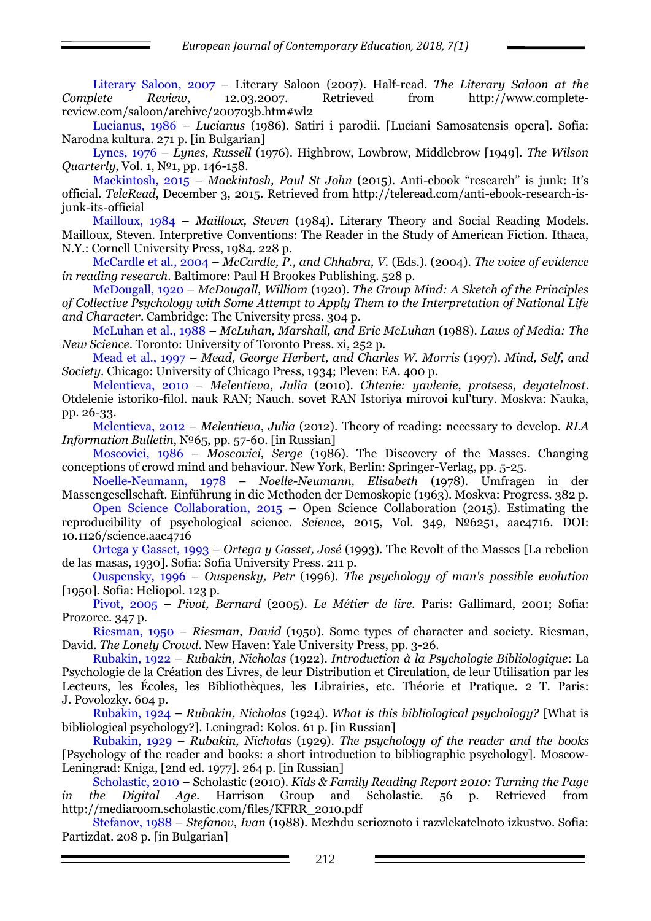Literary Saloon, 2007 – Literary Saloon (2007). Half-read. *The Literary Saloon at the Complete Review*, 12.03.2007. Retrieved from [http://www.complete](http://www.complete-review.com/saloon/archive/200703b.htm#wl2)[review.com/saloon/archive/200703b.htm#wl2](http://www.complete-review.com/saloon/archive/200703b.htm#wl2)

Lucianus, 1986 – *Lucianus* (1986). Satiri i parodii. [Luciani Samosatensis opera]. Sofia: Narodna kultura. 271 p. [in Bulgarian]

Lynes, 1976 – *Lynes, Russell* (1976). Highbrow, Lowbrow, Middlebrow [1949]. *The Wilson Quarterly*, Vol. 1, №1, pp. 146-158.

Mackintosh, 2015 – *Mackintosh, Paul St John* (2015). Anti-ebook "research" is junk: It's official. *TeleRead*, December 3, 2015. Retrieved from http://teleread.com/anti-ebook-research-isjunk-its-official

Mailloux, 1984 – *Mailloux, Steven* (1984). Literary Theory and Social Reading Models. Mailloux, Steven. Interpretive Conventions: The Reader in the Study of American Fiction. Ithaca, N.Y.: Cornell University Press, 1984. 228 p.

McCardle et al., 2004 – *McCardle, P., and Chhabra, V.* (Eds.). (2004). *The voice of evidence in reading research*. Baltimore: Paul H Brookes Publishing. 528 p.

McDougall, 1920 – *McDougall, William* (1920). *The Group Mind: A Sketch of the Principles of Collective Psychology with Some Attempt to Apply Them to the Interpretation of National Life and Character*. Cambridge: The University press. 304 p.

McLuhan et al., 1988 – *McLuhan, Marshall, and Eric McLuhan* (1988). *Laws of Media: The New Science*. Toronto: University of Toronto Press. xi, 252 p.

Mead et al., 1997 – *Mead, George Herbert, and Charles W. Morris* (1997). *Mind, Self, and Society*. Chicago: University of Chicago Press, 1934; Pleven: EA. 400 p.

Melentieva, 2010 – *Melentieva, Julia* (2010). *Chtenie: yavlenie, protsess, deyatelnost*. Otdelenie istoriko-filol. nauk RAN; Nauch. sovet RAN Istoriya mirovoi kul'tury. Moskva: Nauka, pp. 26-33.

Melentieva, 2012 – *Melentieva, Julia* (2012). Theory of reading: necessary to develop. *RLA Information Bulletin*, №65, pp. 57-60. [in Russian]

Moscovici, 1986 – *Moscovici, Serge* (1986). The Discovery of the Masses. Changing conceptions of crowd mind and behaviour. New York, Berlin: Springer-Verlag, pp. 5-25.

Noelle-Neumann, 1978 – *Noelle-Neumann, Elisabeth* (1978). Umfragen in der Massengesellschaft. Einführung in die Methoden der Demoskopie (1963). Moskva: Progress. 382 p.

Open Science Collaboration, 2015 – Open Science Collaboration (2015). Estimating the reproducibility of psychological science. *Science*, 2015, Vol. 349, №6251, aac4716. DOI: 10.1126/science.aac4716

Ortega y Gasset, 1993 – *Ortega y Gasset, José* (1993). The Revolt of the Masses [La rebelion de las masas, 1930]. Sofia: Sofia University Press. 211 p.

Ouspensky, 1996 – *Ouspensky, Petr* (1996). *The psychology of man's possible evolution* [1950]. Sofia: Heliopol. 123 p.

Pivot, 2005 – *Pivot, Bernard* (2005). *Le Métier de lire.* Paris: Gallimard, 2001; Sofia: Prozorec. 347 p.

Riesman, 1950 – *Riesman, David* (1950). Some types of character and society. Riesman, David. *The Lonely Crowd*. New Haven: Yale University Press, pp. 3-26.

Rubakin, 1922 – *Rubakin, Nicholas* (1922). *Introduction la Psychologie Bibliologique*: La Psychologie de la Création des Livres, de leur Distribution et Circulation, de leur Utilisation par les Lecteurs, les Écoles, les Bibliothèques, les Librairies, etc. Théorie et Pratique. 2 T. Paris: J. Povolozky. 604 p.

Rubakin, 1924 – *Rubakin, Nicholas* (1924). *What is this bibliological psychology?* [What is bibliological psychology?]. Leningrad: Kolos. 61 p. [in Russian]

Rubakin, 1929 – *Rubakin, Nicholas* (1929). *The psychology of the reader and the books* [Psychology of the reader and books: a short introduction to bibliographic psychology]. Moscow-Leningrad: Kniga, [2nd ed. 1977]. 264 p. [in Russian]

Scholastic, 2010 – Scholastic (2010). *Kids & Family Reading Report 2010: Turning the Page in the Digital Age*. Harrison Group and Scholastic. 56 p. Retrieved from http://mediaroom.scholastic.com/files/KFRR\_2010.pdf

Stefanov, 1988 – *Stefanov, Ivan* (1988). Mezhdu serioznoto i razvlekatelnoto izkustvo. Sofia: Partizdat. 208 p. [in Bulgarian]